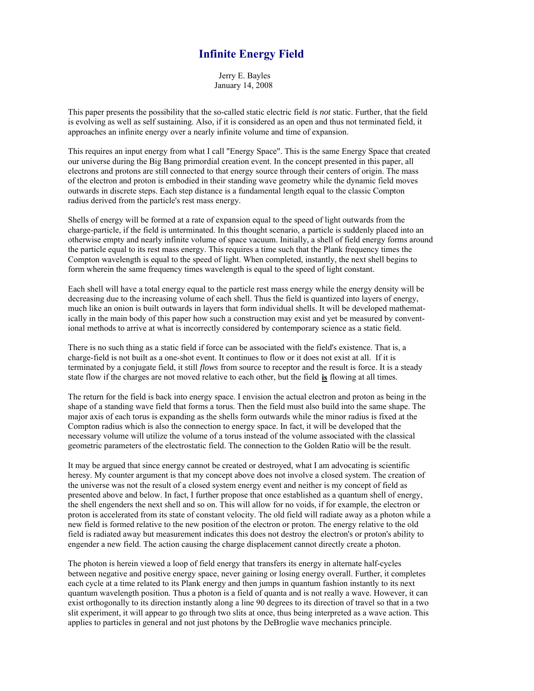# **Infinite Energy Field**

 Jerry E. Bayles January 14, 2008

This paper presents the possibility that the so-called static electric field *is not* static. Further, that the field is evolving as well as self sustaining. Also, if it is considered as an open and thus not terminated field, it approaches an infinite energy over a nearly infinite volume and time of expansion.

This requires an input energy from what I call "Energy Space". This is the same Energy Space that created our universe during the Big Bang primordial creation event. In the concept presented in this paper, all electrons and protons are still connected to that energy source through their centers of origin. The mass of the electron and proton is embodied in their standing wave geometry while the dynamic field moves outwards in discrete steps. Each step distance is a fundamental length equal to the classic Compton radius derived from the particle's rest mass energy.

Shells of energy will be formed at a rate of expansion equal to the speed of light outwards from the charge-particle, if the field is unterminated. In this thought scenario, a particle is suddenly placed into an otherwise empty and nearly infinite volume of space vacuum. Initially, a shell of field energy forms around the particle equal to its rest mass energy. This requires a time such that the Plank frequency times the Compton wavelength is equal to the speed of light. When completed, instantly, the next shell begins to form wherein the same frequency times wavelength is equal to the speed of light constant.

Each shell will have a total energy equal to the particle rest mass energy while the energy density will be decreasing due to the increasing volume of each shell. Thus the field is quantized into layers of energy, much like an onion is built outwards in layers that form individual shells. It will be developed mathematically in the main body of this paper how such a construction may exist and yet be measured by conventional methods to arrive at what is incorrectly considered by contemporary science as a static field.

There is no such thing as a static field if force can be associated with the field's existence. That is, a charge-field is not built as a one-shot event. It continues to flow or it does not exist at all. If it is terminated by a conjugate field, it still *flows* from source to receptor and the result is force. It is a steady state flow if the charges are not moved relative to each other, but the field **is** flowing at all times.

The return for the field is back into energy space. I envision the actual electron and proton as being in the shape of a standing wave field that forms a torus. Then the field must also build into the same shape. The major axis of each torus is expanding as the shells form outwards while the minor radius is fixed at the Compton radius which is also the connection to energy space. In fact, it will be developed that the necessary volume will utilize the volume of a torus instead of the volume associated with the classical geometric parameters of the electrostatic field. The connection to the Golden Ratio will be the result.

It may be argued that since energy cannot be created or destroyed, what I am advocating is scientific heresy. My counter argument is that my concept above does not involve a closed system. The creation of the universe was not the result of a closed system energy event and neither is my concept of field as presented above and below. In fact, I further propose that once established as a quantum shell of energy, the shell engenders the next shell and so on. This will allow for no voids, if for example, the electron or proton is accelerated from its state of constant velocity. The old field will radiate away as a photon while a new field is formed relative to the new position of the electron or proton. The energy relative to the old field is radiated away but measurement indicates this does not destroy the electron's or proton's ability to engender a new field. The action causing the charge displacement cannot directly create a photon.

The photon is herein viewed a loop of field energy that transfers its energy in alternate half-cycles between negative and positive energy space, never gaining or losing energy overall. Further, it completes each cycle at a time related to its Plank energy and then jumps in quantum fashion instantly to its next quantum wavelength position. Thus a photon is a field of quanta and is not really a wave. However, it can exist orthogonally to its direction instantly along a line 90 degrees to its direction of travel so that in a two slit experiment, it will appear to go through two slits at once, thus being interpreted as a wave action. This applies to particles in general and not just photons by the DeBroglie wave mechanics principle.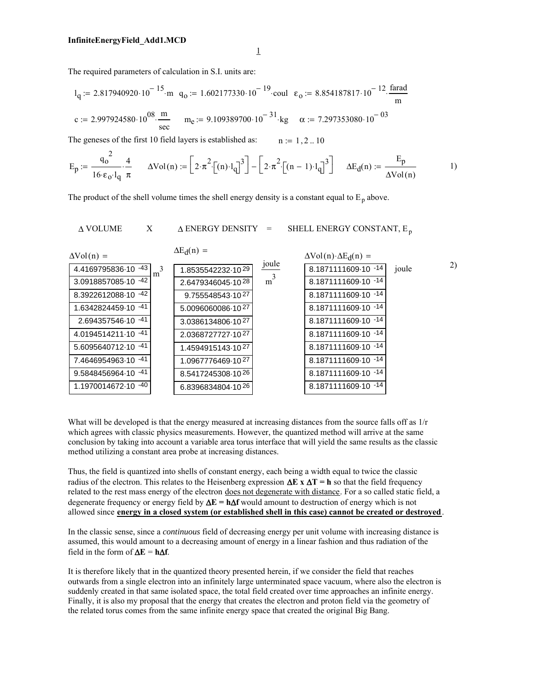1

The required parameters of calculation in S.I. units are:

$$
l_{q} := 2.817940920 \cdot 10^{-15} \text{ m}
$$
  $q_{0} := 1.602177330 \cdot 10^{-19} \text{ coul}$   $\epsilon_{0} := 8.854187817 \cdot 10^{-12} \cdot \frac{\text{farad}}{\text{m}}$   

$$
c := 2.997924580 \cdot 10^{08} \cdot \frac{\text{m}}{\text{sec}}
$$
 
$$
m_{e} := 9.109389700 \cdot 10^{-31} \text{ kg}
$$
  $\alpha := 7.297353080 \cdot 10^{-03}$ 

The geneses of the first 10 field layers is established as:  $n := 1, 2... 10$ 

$$
E_p := \frac{q_o^2}{16 \cdot \epsilon_o \cdot l_q} \cdot \frac{4}{\pi} \qquad \Delta Vol(n) := \left[2 \cdot \pi^2 \cdot \left[(n) \cdot l_q\right]^3\right] - \left[2 \cdot \pi^2 \cdot \left[(n-1) \cdot l_q\right]^3\right] \qquad \Delta E_d(n) := \frac{E_p}{\Delta Vol(n)} \qquad \qquad 1)
$$

The product of the shell volume times the shell energy density is a constant equal to  $E_p$  above.

$$
\Delta \text{ VOLUME} \qquad \text{X} \qquad \Delta \text{ ENERGY DENSITY} \quad = \qquad \text{SHEL ENERGY CONSTANT}, \text{E}_\text{p}
$$

| $\Delta \text{Vol}(n) =$       | $\Delta E_d(n)$ = |                | $\Delta \text{Vol}(n) \cdot \Delta E_d(n) =$ |       |
|--------------------------------|-------------------|----------------|----------------------------------------------|-------|
| 4.4169795836-10 - 43<br>3<br>m | 1.8535542232-1029 | joule          | 8.1871111609-10 -14                          | joule |
| 3.0918857085-10 -42            | 2.6479346045-1028 | m <sup>3</sup> | 8.1871111609-10 -14                          |       |
| 8.3922612088-10 -42            | 9.755548543-1027  |                | 8.1871111609-10 -14                          |       |
| 1.6342824459-10 -41            | 5.0096060086-1027 |                | 8.1871111609-10 -14                          |       |
| 2.694357546-10 -41             | 3.0386134806-1027 |                | 8.1871111609-10 -14                          |       |
| 4.0194514211-10 -41            | 2.0368727727-1027 |                | 8.1871111609-10 -14                          |       |
| 5.6095640712-10 -41            | 1.4594915143-1027 |                | 8.1871111609-10 -14                          |       |
| 7.4646954963-10 -41            | 1.0967776469-1027 |                | 8.1871111609-10 -14                          |       |
| -41<br>9.5848456964-10         | 8.5417245308-1026 |                | 8.1871111609-10 -14                          |       |
| 1.1970014672-10 -40            | 6.8396834804-1026 |                | 8.1871111609-10 -14                          |       |

2)

What will be developed is that the energy measured at increasing distances from the source falls off as  $1/r$ which agrees with classic physics measurements. However, the quantized method will arrive at the same conclusion by taking into account a variable area torus interface that will yield the same results as the classic method utilizing a constant area probe at increasing distances.

Thus, the field is quantized into shells of constant energy, each being a width equal to twice the classic radius of the electron. This relates to the Heisenberg expression ∆**E x** ∆**T = h** so that the field frequency related to the rest mass energy of the electron does not degenerate with distance. For a so called static field, a degenerate frequency or energy field by ∆**E = h**∆**f** would amount to destruction of energy which is not allowed since **energy in a closed system (or established shell in this case) cannot be created or destroyed**.

In the classic sense, since a *continuous* field of decreasing energy per unit volume with increasing distance is assumed, this would amount to a decreasing amount of energy in a linear fashion and thus radiation of the field in the form of  $\Delta E = h \Delta f$ .

It is therefore likely that in the quantized theory presented herein, if we consider the field that reaches outwards from a single electron into an infinitely large unterminated space vacuum, where also the electron is suddenly created in that same isolated space, the total field created over time approaches an infinite energy. Finally, it is also my proposal that the energy that creates the electron and proton field via the geometry of the related torus comes from the same infinite energy space that created the original Big Bang.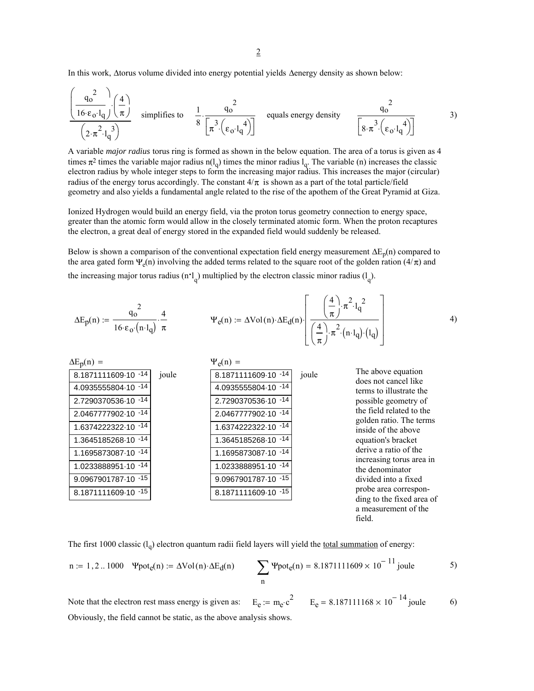In this work, ∆torus volume divided into energy potential yields ∆energy density as shown below:

$$
\frac{\left(\frac{q_0^2}{16 \cdot \epsilon_0 \cdot l_q}\right)\left(\frac{4}{\pi}\right)}{\left(2 \cdot \pi^2 \cdot l_q^3\right)}
$$
 simplifies to  $\frac{1}{8} \cdot \frac{q_0^2}{\left[\pi^3 \cdot \left(\epsilon_0 \cdot l_q^4\right)\right]}$  equals energy density  $\frac{q_0^2}{\left[8 \cdot \pi^3 \cdot \left(\epsilon_0 \cdot l_q^4\right)\right]}$  3)

A variable *major radius* torus ring is formed as shown in the below equation. The area of a torus is given as 4 times  $\pi^2$  times the variable major radius n(l<sub>q</sub>) times the minor radius l<sub>q</sub>. The variable (n) increases the classic electron radius by whole integer steps to form the increasing major radius. This increases the major (circular) radius of the energy torus accordingly. The constant  $4/\pi$  is shown as a part of the total particle/field geometry and also yields a fundamental angle related to the rise of the apothem of the Great Pyramid at Giza.

Ionized Hydrogen would build an energy field, via the proton torus geometry connection to energy space, greater than the atomic form would allow in the closely terminated atomic form. When the proton recaptures the electron, a great deal of energy stored in the expanded field would suddenly be released.

Below is shown a comparison of the conventional expectation field energy measurement  $\Delta E_p(n)$  compared to the area gated form  $\Psi_e(n)$  involving the added terms related to the square root of the golden ration (4/ $\pi$ ) and the increasing major torus radius  $(n^l)$  multiplied by the electron classic minor radius  $(l_q)$ .

$$
\Delta E_p(n) := \frac{q_0^2}{16 \cdot \epsilon_0 \cdot (n \cdot l_q)} \cdot \frac{4}{\pi} \qquad \Psi_e(n) := \Delta Vol(n) \cdot \Delta E_d(n) \cdot \left[ \frac{\left(\frac{4}{\pi}\right) \cdot \pi^2 \cdot l_q^2}{\left(\frac{4}{\pi}\right) \cdot \pi^2 \cdot (n \cdot l_q) \cdot (l_q)} \right] \qquad (4)
$$

| $\Delta E_p(n)$ =   |       | $\Psi_e(n) =$        |       |                                                                                      |
|---------------------|-------|----------------------|-------|--------------------------------------------------------------------------------------|
| 8.1871111609-10 -14 | joule | 8.1871111609-10 -14  | joule | The above equation<br>does not cancel like                                           |
| 4.0935555804-10 -14 |       | 4.0935555804-10 -14  |       | terms to illustrate the<br>possible geometry of<br>the field related to the          |
| 2.7290370536-10 -14 |       | 2.7290370536-10 -14  |       |                                                                                      |
| 2.0467777902-10 -14 |       | 2.0467777902-10 -14  |       |                                                                                      |
| 1.6374222322-10 -14 |       | 1.6374222322-10 - 14 |       | golden ratio. The terms<br>inside of the above                                       |
| 1.3645185268-10 -14 |       | 1.3645185268-10 -14  |       | equation's bracket                                                                   |
| 1.1695873087-10 -14 |       | 1.1695873087-10 -14  |       | derive a ratio of the                                                                |
| 1.0233888951-10 -14 |       | 1.0233888951-10 -14  |       | increasing torus area in<br>the denominator                                          |
| 9.0967901787-10 -15 |       | 9.0967901787-10 -15  |       | divided into a fixed                                                                 |
| 8.1871111609-10 -15 |       | 8.1871111609-10 -15  |       | probe area correspon-<br>ding to the fixed area of<br>a measurement of the<br>field. |

The first 1000 classic  $(l_q)$  electron quantum radii field layers will yield the total summation of energy:

n := 1, 2...1000 
$$
\Psi \text{pot}_{e}(n) := \Delta \text{Vol}(n) \cdot \Delta E_{d}(n)
$$
  

$$
\sum_{n} \Psi \text{pot}_{e}(n) = 8.1871111609 \times 10^{-11} \text{ joule}
$$
5)

Obviously, the field cannot be static, as the above analysis shows.  $E_e := m_e c^2$   $E_e = 8.187111168 \times 10^{-14}$  joule 6) Note that the electron rest mass energy is given as: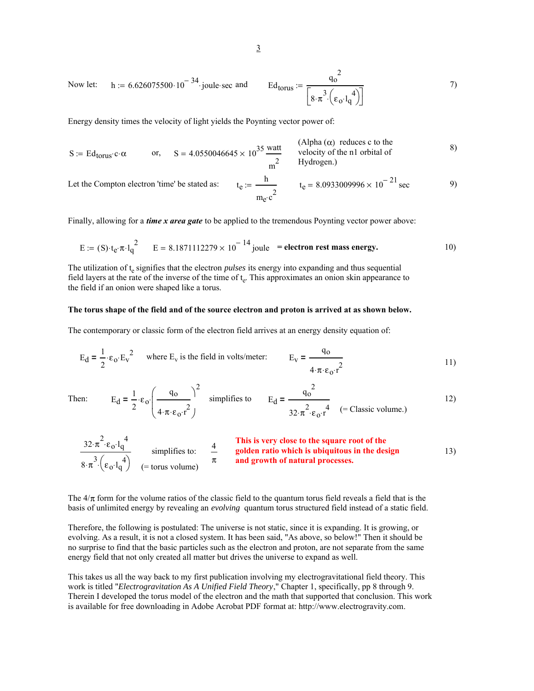Now let: 
$$
h := 6.626075500 \cdot 10^{-34}
$$
 joule-sec and  $Ed_{torus} := \frac{q_0^2}{\left[8 \cdot \pi^3 \cdot \left(\epsilon_0 \cdot l_q^4\right)\right]}$  7)

Energy density times the velocity of light yields the Poynting vector power of:

$$
S := Ed_{torus} \cdot c \cdot \alpha
$$
 or, 
$$
S = 4.0550046645 \times 10^{35} \frac{\text{watt}}{\text{m}^2}
$$
 (Alpha ( $\alpha$ ) reduces c to the velocity of the n1 orbital of Hydrogen.)

Let the Compton electron 'time' be stated as:

$$
t_e := \frac{h}{m_e \cdot c^2}
$$
  $t_e = 8.0933009996 \times 10^{-21} \text{ sec}$  9)

Finally, allowing for a *time x area gate* to be applied to the tremendous Poynting vector power above:

E := (S) 
$$
t_e \pi l_q^2
$$
 E = 8.1871112279 × 10<sup>-14</sup> joule = electron rest mass energy. 10)

The utilization of t<sub>e</sub> signifies that the electron *pulses* its energy into expanding and thus sequential field layers at the rate of the inverse of the time of  $t_e$ . This approximates an onion skin appearance to the field if an onion were shaped like a torus.

#### **The torus shape of the field and of the source electron and proton is arrived at as shown below.**

The contemporary or classic form of the electron field arrives at an energy density equation of:

$$
E_d = \frac{1}{2} \cdot \varepsilon_o \cdot E_v^2
$$
 where  $E_v$  is the field in volts/meter:  $E_v = \frac{q_o}{4 \cdot \pi \cdot \varepsilon_o \cdot r^2}$  [1]

Then

$$
E_{d} = \frac{1}{2} \cdot \varepsilon_{0} \cdot \left(\frac{q_{0}}{4 \cdot \pi \cdot \varepsilon_{0} \cdot r^{2}}\right)^{2} \quad \text{simpifies to} \qquad E_{d} = \frac{q_{0}^{2}}{32 \cdot \pi^{2} \cdot \varepsilon_{0} \cdot r^{4}} \quad (= \text{Classic volume.}) \tag{12}
$$

$$
\frac{32 \cdot \pi^2 \cdot \epsilon_0 \cdot l_q^4}{8 \cdot \pi^3 \cdot (\epsilon_0 \cdot l_q^4)}
$$
 simplifies to:  $\frac{4}{\pi}$  **This is very close to the square root of the**  
golden ratio which is ubiquitous in the design  
and growth of natural processes.

The  $4/\pi$  form for the volume ratios of the classic field to the quantum torus field reveals a field that is the basis of unlimited energy by revealing an *evolving* quantum torus structured field instead of a static field.

Therefore, the following is postulated: The universe is not static, since it is expanding. It is growing, or evolving. As a result, it is not a closed system. It has been said, "As above, so below!" Then it should be no surprise to find that the basic particles such as the electron and proton, are not separate from the same energy field that not only created all matter but drives the universe to expand as well.

This takes us all the way back to my first publication involving my electrogravitational field theory. This work is titled "*Electrogravitation As A Unified Field Theory*," Chapter 1, specifically, pp 8 through 9. Therein I developed the torus model of the electron and the math that supported that conclusion. This work is available for free downloading in Adobe Acrobat PDF format at: http://www.electrogravity.com.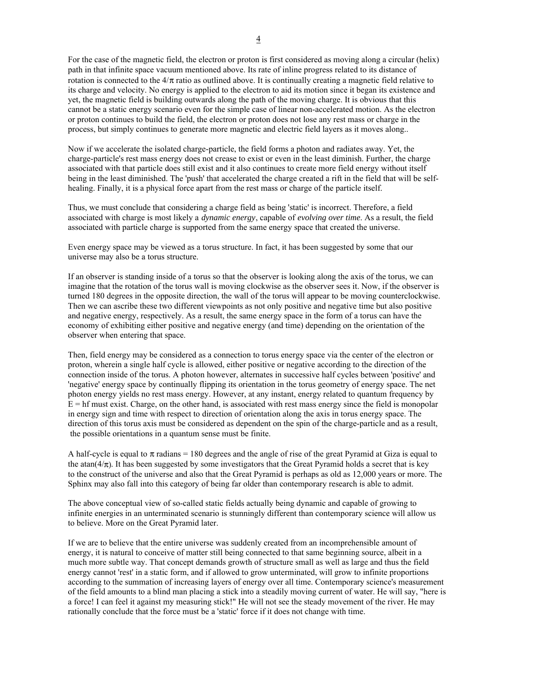For the case of the magnetic field, the electron or proton is first considered as moving along a circular (helix) path in that infinite space vacuum mentioned above. Its rate of inline progress related to its distance of rotation is connected to the  $4/\pi$  ratio as outlined above. It is continually creating a magnetic field relative to its charge and velocity. No energy is applied to the electron to aid its motion since it began its existence and yet, the magnetic field is building outwards along the path of the moving charge. It is obvious that this cannot be a static energy scenario even for the simple case of linear non-accelerated motion. As the electron or proton continues to build the field, the electron or proton does not lose any rest mass or charge in the process, but simply continues to generate more magnetic and electric field layers as it moves along..

Now if we accelerate the isolated charge-particle, the field forms a photon and radiates away. Yet, the charge-particle's rest mass energy does not crease to exist or even in the least diminish. Further, the charge associated with that particle does still exist and it also continues to create more field energy without itself being in the least diminished. The 'push' that accelerated the charge created a rift in the field that will be selfhealing. Finally, it is a physical force apart from the rest mass or charge of the particle itself.

Thus, we must conclude that considering a charge field as being 'static' is incorrect. Therefore, a field associated with charge is most likely a *dynamic energy*, capable of *evolving over time*. As a result, the field associated with particle charge is supported from the same energy space that created the universe.

Even energy space may be viewed as a torus structure. In fact, it has been suggested by some that our universe may also be a torus structure.

If an observer is standing inside of a torus so that the observer is looking along the axis of the torus, we can imagine that the rotation of the torus wall is moving clockwise as the observer sees it. Now, if the observer is turned 180 degrees in the opposite direction, the wall of the torus will appear to be moving counterclockwise. Then we can ascribe these two different viewpoints as not only positive and negative time but also positive and negative energy, respectively. As a result, the same energy space in the form of a torus can have the economy of exhibiting either positive and negative energy (and time) depending on the orientation of the observer when entering that space.

Then, field energy may be considered as a connection to torus energy space via the center of the electron or proton, wherein a single half cycle is allowed, either positive or negative according to the direction of the connection inside of the torus. A photon however, alternates in successive half cycles between 'positive' and 'negative' energy space by continually flipping its orientation in the torus geometry of energy space. The net photon energy yields no rest mass energy. However, at any instant, energy related to quantum frequency by  $E = hf$  must exist. Charge, on the other hand, is associated with rest mass energy since the field is monopolar in energy sign and time with respect to direction of orientation along the axis in torus energy space. The direction of this torus axis must be considered as dependent on the spin of the charge-particle and as a result, the possible orientations in a quantum sense must be finite.

A half-cycle is equal to  $\pi$  radians = 180 degrees and the angle of rise of the great Pyramid at Giza is equal to the atan( $4/\pi$ ). It has been suggested by some investigators that the Great Pyramid holds a secret that is key to the construct of the universe and also that the Great Pyramid is perhaps as old as 12,000 years or more. The Sphinx may also fall into this category of being far older than contemporary research is able to admit.

The above conceptual view of so-called static fields actually being dynamic and capable of growing to infinite energies in an unterminated scenario is stunningly different than contemporary science will allow us to believe. More on the Great Pyramid later.

If we are to believe that the entire universe was suddenly created from an incomprehensible amount of energy, it is natural to conceive of matter still being connected to that same beginning source, albeit in a much more subtle way. That concept demands growth of structure small as well as large and thus the field energy cannot 'rest' in a static form, and if allowed to grow unterminated, will grow to infinite proportions according to the summation of increasing layers of energy over all time. Contemporary science's measurement of the field amounts to a blind man placing a stick into a steadily moving current of water. He will say, "here is a force! I can feel it against my measuring stick!" He will not see the steady movement of the river. He may rationally conclude that the force must be a 'static' force if it does not change with time.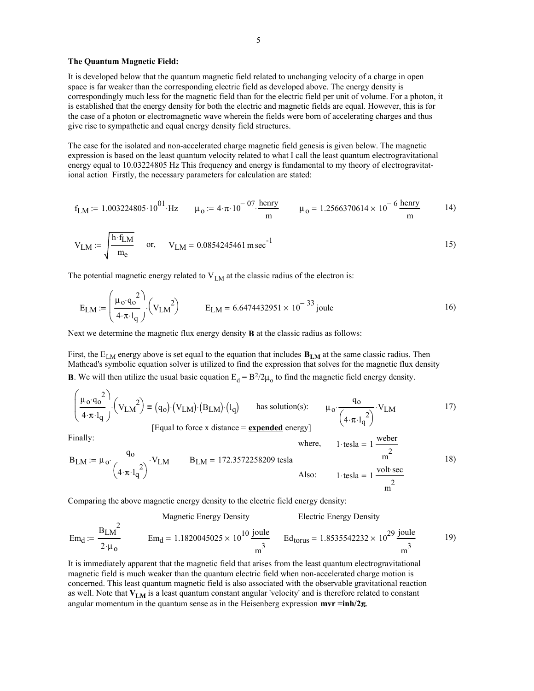#### **The Quantum Magnetic Field:**

It is developed below that the quantum magnetic field related to unchanging velocity of a charge in open space is far weaker than the corresponding electric field as developed above. The energy density is correspondingly much less for the magnetic field than for the electric field per unit of volume. For a photon, it is established that the energy density for both the electric and magnetic fields are equal. However, this is for the case of a photon or electromagnetic wave wherein the fields were born of accelerating charges and thus give rise to sympathetic and equal energy density field structures.

The case for the isolated and non-accelerated charge magnetic field genesis is given below. The magnetic expression is based on the least quantum velocity related to what I call the least quantum electrogravitational energy equal to 10.03224805 Hz This frequency and energy is fundamental to my theory of electrogravitational action Firstly, the necessary parameters for calculation are stated:

$$
f_{LM} := 1.003224805 \cdot 10^{01} \cdot Hz \qquad \mu_0 := 4 \cdot \pi \cdot 10^{-07} \cdot \frac{henry}{m} \qquad \mu_0 = 1.2566370614 \times 10^{-6} \frac{henry}{m} \tag{14}
$$

$$
V_{LM} := \sqrt{\frac{h \cdot f_{LM}}{m_e}} \quad \text{or,} \quad V_{LM} = 0.0854245461 \, \text{m} \, \text{sec}^{-1} \tag{15}
$$

The potential magnetic energy related to  $V_{LM}$  at the classic radius of the electron is:

$$
E_{LM} := \left(\frac{\mu_0 \cdot q_0^2}{4 \cdot \pi \cdot l_q}\right) \cdot \left(V_{LM}^2\right) \qquad E_{LM} = 6.6474432951 \times 10^{-33} \text{ joule}
$$

Next we determine the magnetic flux energy density **B** at the classic radius as follows:

First, the  $E_{LM}$  energy above is set equal to the equation that includes  $B_{LM}$  at the same classic radius. Then Mathcad's symbolic equation solver is utilized to find the expression that solves for the magnetic flux density **B**. We will then utilize the usual basic equation  $E_d = B^2/2\mu_0$  to find the magnetic field energy density.

$$
\left(\frac{\mu_0 \cdot q_0^2}{4 \cdot \pi \cdot l_q}\right) \cdot \left(V_{LM}\right)^2 = (q_0) \cdot \left(V_{LM}\right) \cdot \left(l_q\right) \quad \text{has solution(s):} \quad \mu_0 \cdot \frac{q_0}{\left(4 \cdot \pi \cdot l_q^2\right)} \cdot V_{LM} \tag{17}
$$
\n[Equal to force x distance = expended energy]

Finally:  
\n
$$
B_{LM} := \mu_0 \cdot \frac{q_0}{\left(4 \cdot \pi \cdot l_q^2\right)} \cdot V_{LM}
$$
\n
$$
B_{LM} = 172.3572258209 \text{ tesla}
$$
\n
$$
B_{L} = 172.3572258209 \text{ tesla}
$$
\n
$$
A \text{lso:} \qquad 1 \cdot \text{tesla} = 1 \frac{\text{volt} \cdot \text{sec}}{m^2}
$$
\n
$$
18)
$$

Comparing the above magnetic energy density to the electric field energy density:

$$
Em_d := \frac{B_{LM}^2}{2 \cdot \mu_0}
$$
 
$$
Am_d = 1.1820045025 \times 10^{10} \frac{joule}{m^3}
$$
 
$$
Ed_{torus} = 1.8535542232 \times 10^{29} \frac{joule}{m^3}
$$
 19)

It is immediately apparent that the magnetic field that arises from the least quantum electrogravitational magnetic field is much weaker than the quantum electric field when non-accelerated charge motion is concerned. This least quantum magnetic field is also associated with the observable gravitational reaction as well. Note that  $V_{LM}$  is a least quantum constant angular 'velocity' and is therefore related to constant angular momentum in the quantum sense as in the Heisenberg expression **mvr =inh/2**π.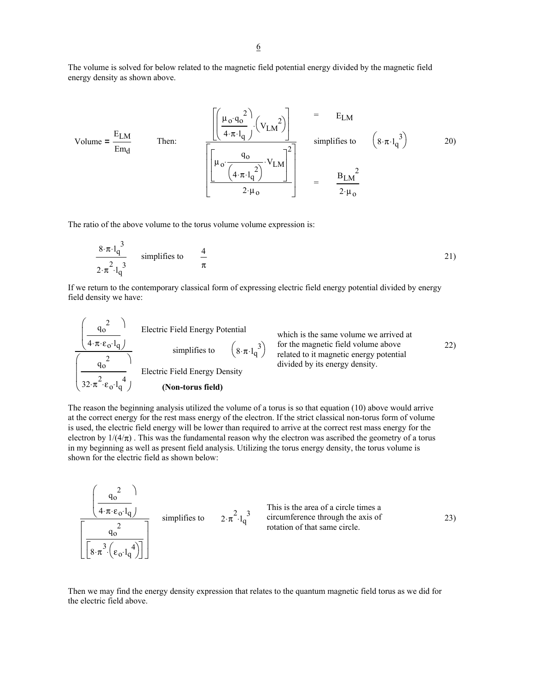The volume is solved for below related to the magnetic field potential energy divided by the magnetic field energy density as shown above.

Volume = 
$$
\frac{E_{LM}}{Em_d}
$$
  
\nThen:  
\n
$$
\frac{\left[\left(\frac{\mu_0 \cdot q_0^2}{4 \cdot \pi \cdot l_q}\right) \cdot \left(V_{LM}^2\right)\right]}{\left[\left(\mu_0 \cdot \frac{q_0}{\left(4 \cdot \pi \cdot l_q^2\right)} \cdot V_{LM}\right]^2\right]} = E_{LM}
$$
\nsimplifies to\n
$$
\left(8 \cdot \pi \cdot l_q^3\right)
$$
\n
$$
= \frac{B_{LM}^2}{2 \cdot \mu_0}
$$

The ratio of the above volume to the torus volume volume expression is:

 $\sqrt{2}$ 

$$
\frac{8 \cdot \pi \cdot l_q^3}{2 \cdot \pi^2 \cdot l_q^3}
$$
 simplifies to  $\frac{4}{\pi}$  (21)

If we return to the contemporary classical form of expressing electric field energy potential divided by energy field density we have:

| $q_0^2$ | Electric Field Energy Potential          | which is the same volume we arrived at<br>simplifies to<br>related to it magnetic field volume above<br>related by its energy density. | 22)  |
|---------|------------------------------------------|----------------------------------------------------------------------------------------------------------------------------------------|------|
| $q_0^2$ | 32· $\pi^2 \cdot \epsilon_0 \cdot l_q^4$ | Electric Field Energy Density                                                                                                          | 4.20 |

The reason the beginning analysis utilized the volume of a torus is so that equation (10) above would arrive at the correct energy for the rest mass energy of the electron. If the strict classical non-torus form of volume is used, the electric field energy will be lower than required to arrive at the correct rest mass energy for the electron by  $1/(4/\pi)$ . This was the fundamental reason why the electron was ascribed the geometry of a torus in my beginning as well as present field analysis. Utilizing the torus energy density, the torus volume is shown for the electric field as shown below:

$$
\frac{\left(\frac{q_0^2}{4 \cdot \pi \cdot \varepsilon_0 \cdot l_q}\right)}{\left[\frac{q_0^2}{8 \cdot \pi^3 \cdot \left(\varepsilon_0 \cdot l_q^4\right)}\right]}
$$
 simplifies to  $2 \cdot \pi^2 \cdot l_q^3$  This is the area of a circle times a circumference through the axis of rotation of that same circle.

Then we may find the energy density expression that relates to the quantum magnetic field torus as we did for the electric field above.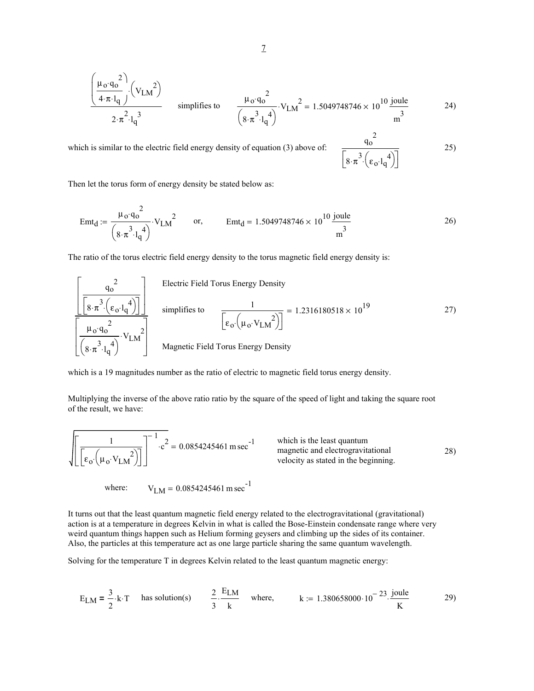$$
\frac{\left(\frac{\mu_0 \cdot q_0^2}{4 \cdot \pi \cdot l_q}\right) \cdot \left(V_{LM}\right)}{2 \cdot \pi^2 \cdot l_q^3}
$$
 simplifies to 
$$
\frac{\mu_0 \cdot q_0^2}{\left(8 \cdot \pi^3 \cdot l_q^4\right)} \cdot V_{LM}^2 = 1.5049748746 \times 10^{10} \frac{\text{joule}}{\text{m}^3}
$$

which is similar to the electric field energy density of equation  $(3)$  above of:

$$
25)
$$

2

 $\left[8\cdot\pi^3\left(\epsilon_0\cdot l_q^4\right)\right]$ 

Then let the torus form of energy density be stated below as:

$$
Emt_d := \frac{\mu_0 \cdot q_0^2}{\left(8 \cdot \pi^3 \cdot l_q^4\right)} \cdot V_{LM}^2 \qquad \text{or,} \qquad Emt_d = 1.5049748746 \times 10^{10} \frac{\text{joule}}{\text{m}^3} \tag{26}
$$

The ratio of the torus electric field energy density to the torus magnetic field energy density is:

$$
\frac{\left[\frac{q_o^2}{\left[8 \cdot \pi^3 \cdot \left(\epsilon_o \cdot l_q^4\right)\right]}\right]}{\left[\frac{\mu_o q_o^2}{\left(8 \cdot \pi^3 \cdot l_q^4\right)}\right]}
$$
 simplifies to 
$$
\frac{1}{\left[\epsilon_o \cdot \left(\mu_o \cdot V_{LM}^2\right)\right]} = 1.2316180518 \times 10^{19}
$$
 27)

which is a 19 magnitudes number as the ratio of electric to magnetic field torus energy density.

Multiplying the inverse of the above ratio ratio by the square of the speed of light and taking the square root of the result, we have:

$$
\sqrt{\left[\frac{1}{\left[\epsilon_0 \cdot \left(\mu_0 \cdot V_{LM}\right)^2\right]}\right]^{-1} \cdot c^2} = 0.0854245461 \text{ m sec}^{-1}
$$
 which is the least quantum magnetic and electromagnetic and electromagnetic field in the beginning.

where:  $V_{LM} = 0.0854245461 \text{ m sec}^{-1}$ 

It turns out that the least quantum magnetic field energy related to the electrogravitational (gravitational) action is at a temperature in degrees Kelvin in what is called the Bose-Einstein condensate range where very weird quantum things happen such as Helium forming geysers and climbing up the sides of its container. Also, the particles at this temperature act as one large particle sharing the same quantum wavelength.

Solving for the temperature T in degrees Kelvin related to the least quantum magnetic energy:

$$
E_{LM} = \frac{3}{2} \cdot k \cdot T
$$
 has solution(s)  $\frac{2}{3} \cdot \frac{E_{LM}}{k}$  where,  $k := 1.380658000 \cdot 10^{-23} \cdot \frac{joule}{K}$  29)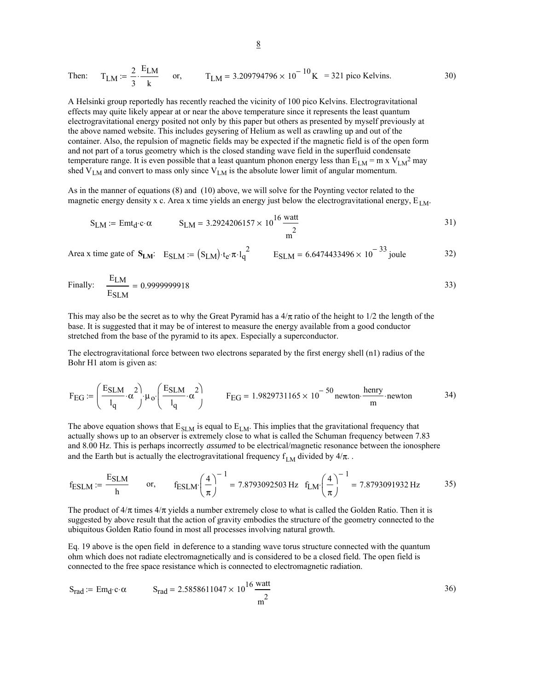Then: 
$$
T_{LM} := \frac{2}{3} \cdot \frac{E_{LM}}{k}
$$
 or,  $T_{LM} = 3.209794796 \times 10^{-10} \text{K} = 321 \text{ pico Kelvins.}$  30)

A Helsinki group reportedly has recently reached the vicinity of 100 pico Kelvins. Electrogravitational effects may quite likely appear at or near the above temperature since it represents the least quantum electrogravitational energy posited not only by this paper but others as presented by myself previously at the above named website. This includes geysering of Helium as well as crawling up and out of the container. Also, the repulsion of magnetic fields may be expected if the magnetic field is of the open form and not part of a torus geometry which is the closed standing wave field in the superfluid condensate temperature range. It is even possible that a least quantum phonon energy less than  $E_{LM} = m x V_{LM}^2$  may shed  $V_{LM}$  and convert to mass only since  $V_{LM}$  is the absolute lower limit of angular momentum.

As in the manner of equations (8) and (10) above, we will solve for the Poynting vector related to the magnetic energy density x c. Area x time yields an energy just below the electrogravitational energy,  $E_{LM}$ .

$$
S_{LM} := \text{Emt}_{d} \cdot c \cdot \alpha \qquad S_{LM} = 3.2924206157 \times 10^{16} \frac{\text{watt}}{m^{2}}
$$
 (31)

Area x time gate of  $S_{LM}$ :  $E_{SLM} = (S_{LM}) \cdot t_e \cdot \pi \cdot l_q^2$   $E_{SLM} = 6.6474433496 \times 10^{-33}$  joule 32)

Finally: 
$$
\frac{E_{LM}}{E_{SLM}} = 0.9999999918
$$

This may also be the secret as to why the Great Pyramid has a  $4/\pi$  ratio of the height to  $1/2$  the length of the base. It is suggested that it may be of interest to measure the energy available from a good conductor stretched from the base of the pyramid to its apex. Especially a superconductor.

The electrogravitational force between two electrons separated by the first energy shell (n1) radius of the Bohr H1 atom is given as:

$$
F_{EG} := \left(\frac{E_{SLM}}{l_q} \cdot \alpha^2\right) \cdot \mu_0 \cdot \left(\frac{E_{SLM}}{l_q} \cdot \alpha^2\right) \qquad F_{EG} = 1.9829731165 \times 10^{-50} \text{ newton} \cdot \frac{\text{henry}}{\text{m}} \cdot \text{newton} \qquad 34)
$$

The above equation shows that  $E_{SLM}$  is equal to  $E_{LM}$ . This implies that the gravitational frequency that actually shows up to an observer is extremely close to what is called the Schuman frequency between 7.83 and 8.00 Hz. This is perhaps incorrectly *assumed* to be electrical/magnetic resonance between the ionosphere and the Earth but is actually the electrogravitational frequency  $f_{LM}$  divided by  $4/\pi$ .

$$
f_{ESLM} := \frac{E_{SLM}}{h} \qquad \text{or,} \qquad f_{ESLM} \left(\frac{4}{\pi}\right)^{-1} = 7.8793092503 \text{ Hz} \quad f_{LM} \left(\frac{4}{\pi}\right)^{-1} = 7.8793091932 \text{ Hz} \tag{35}
$$

The product of  $4/\pi$  times  $4/\pi$  yields a number extremely close to what is called the Golden Ratio. Then it is suggested by above result that the action of gravity embodies the structure of the geometry connected to the ubiquitous Golden Ratio found in most all processes involving natural growth.

Eq. 19 above is the open field in deference to a standing wave torus structure connected with the quantum ohm which does not radiate electromagnetically and is considered to be a closed field. The open field is connected to the free space resistance which is connected to electromagnetic radiation.

$$
S_{rad} := Em_d \cdot c \cdot \alpha
$$
  $S_{rad} = 2.5858611047 \times 10^{16} \frac{\text{watt}}{\text{m}^2}$   $36$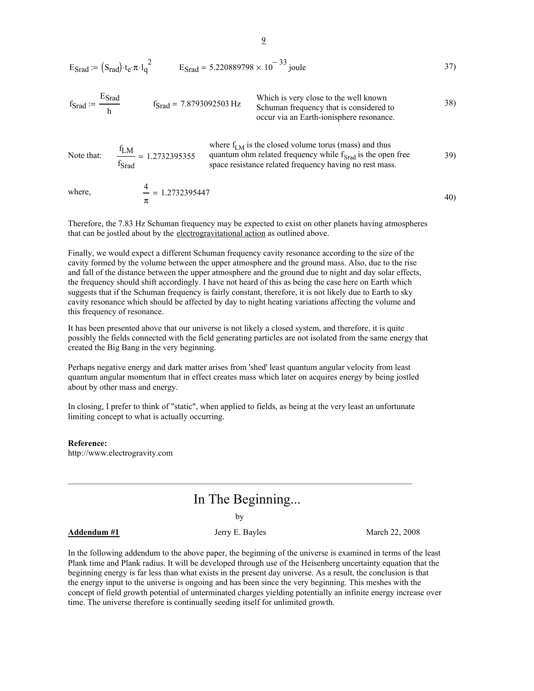$$
E_{\text{Srad}} = (S_{\text{rad}}) \cdot t_e \cdot \pi \cdot l_q^2
$$
  $E_{\text{Srad}} = 5.220889798 \times 10^{-33} \text{ joule}$  37)

$$
f_{\text{Srad}} := \frac{E_{\text{Srad}}}{h}
$$
 
$$
f_{\text{Srad}} = 7.8793092503 \text{ Hz}
$$
   
 
$$
f_{\text{Srad}} = 7.8793092503 \text{ Hz}
$$
   
 
$$
f_{\text{Srad}} = 7.8793092503 \text{ Hz}
$$
   
 
$$
f_{\text{Srad}} = 7.8793092503 \text{ Hz}
$$
   
 
$$
f_{\text{Srad}} = 7.8793092503 \text{ Hz}
$$
   
 
$$
f_{\text{Srad}} = 7.8793092503 \text{ Hz}
$$
   
 
$$
f_{\text{Srad}} = 7.8793092503 \text{ Hz}
$$
   
 
$$
f_{\text{Srad}} = 7.8793092503 \text{ Hz}
$$
   
 
$$
f_{\text{Srad}} = 7.8793092503 \text{ Hz}
$$
   
 
$$
f_{\text{Srad}} = 7.8793092503 \text{ Hz}
$$
   
 
$$
f_{\text{Srad}} = 7.8793092503 \text{ Hz}
$$
   
 
$$
f_{\text{Srad}} = 7.8793092503 \text{ Hz}
$$
   
 
$$
f_{\text{Srad}} = 7.8793092503 \text{ Hz}
$$
   
 
$$
f_{\text{Srad}} = 7.8793092503 \text{ Hz}
$$
   
 
$$
f_{\text{Srad}} = 7.8793092503 \text{ Hz}
$$
   
 
$$
f_{\text{Srad}} = 7.8793092503 \text{ Hz}
$$
   
 
$$
f_{\text{Srad}} = 7.8793092503 \text{ Hz}
$$
   
 
$$
f_{\text{Srad}} = 7.8793092503 \text{ Hz}
$$
   
 
$$
f_{\text{Srad}} = 7.8793092503 \text{ Hz}
$$
   
 
$$
f_{\text{S
$$

39) fLM fSrad Note that:  $\frac{LNY}{2} = 1.2732395355$ where  $f_{LM}$  is the closed volume torus (mass) and thus quantum ohm related frequency while  $f_{\text{Srad}}$  is the open free space resistance related frequency having no rest mass.

where, 
$$
\frac{4}{\pi} = 1.2732395447
$$
 40)

Therefore, the 7.83 Hz Schuman frequency may be expected to exist on other planets having atmospheres that can be jostled about by the electrogravitational action as outlined above.

Finally, we would expect a different Schuman frequency cavity resonance according to the size of the cavity formed by the volume between the upper atmosphere and the ground mass. Also, due to the rise and fall of the distance between the upper atmosphere and the ground due to night and day solar effects, the frequency should shift accordingly. I have not heard of this as being the case here on Earth which suggests that if the Schuman frequency is fairly constant, therefore, it is not likely due to Earth to sky cavity resonance which should be affected by day to night heating variations affecting the volume and this frequency of resonance.

It has been presented above that our universe is not likely a closed system, and therefore, it is quite possibly the fields connected with the field generating particles are not isolated from the same energy that created the Big Bang in the very beginning.

Perhaps negative energy and dark matter arises from 'shed' least quantum angular velocity from least quantum angular momentum that in effect creates mass which later on acquires energy by being jostled about by other mass and energy.

In closing, I prefer to think of "static", when applied to fields, as being at the very least an unfortunate limiting concept to what is actually occurring.

### **Reference:**

http://www.electrogravity.com

# In The Beginning...

by

# Addendum #1 **Addendum #1** Jerry E. Bayles March 22, 2008

In the following addendum to the above paper, the beginning of the universe is examined in terms of the least Plank time and Plank radius. It will be developed through use of the Heisenberg uncertainty equation that the beginning energy is far less than what exists in the present day universe. As a result, the conclusion is that the energy input to the universe is ongoing and has been since the very beginning. This meshes with the concept of field growth potential of unterminated charges yielding potentially an infinite energy increase over time. The universe therefore is continually seeding itself for unlimited growth.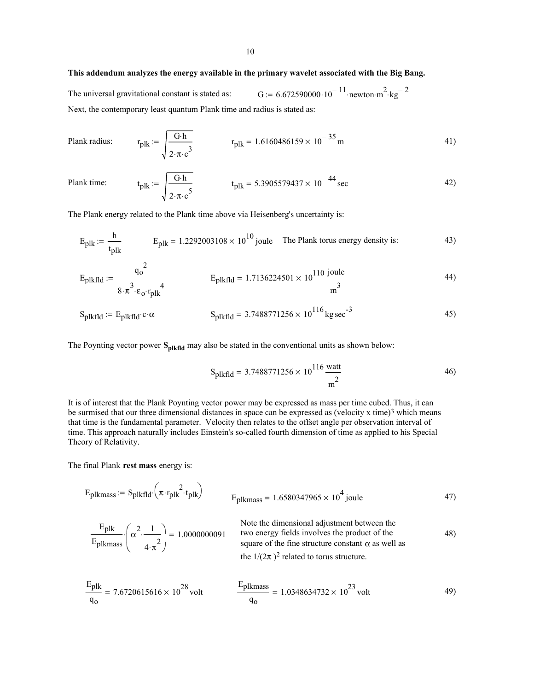# **This addendum analyzes the energy available in the primary wavelet associated with the Big Bang.**

The universal gravitational constant is stated as:  $G := 6.672590000 \cdot 10^{-11}$  newton m<sup>2</sup> · kg<sup>-2</sup> Next, the contemporary least quantum Plank time and radius is stated as:

Plank radius: 
$$
r_{\text{plk}} := \sqrt{\frac{G \cdot h}{2 \cdot \pi \cdot c^3}}
$$
  $r_{\text{plk}} = 1.6160486159 \times 10^{-35} \text{ m}$  (41)

Plank time: 
$$
t_{\text{plk}} := \sqrt{\frac{G \cdot h}{2 \cdot \pi \cdot c^5}}
$$
  $t_{\text{plk}} = 5.3905579437 \times 10^{-44} \text{ sec}$  42)

The Plank energy related to the Plank time above via Heisenberg's uncertainty is:

$$
E_{\text{plk}} := \frac{h}{t_{\text{plk}}} \qquad E_{\text{plk}} = 1.2292003108 \times 10^{10} \text{ joule} \qquad \text{The Planck torus energy density is:} \tag{43}
$$

$$
E_{\text{plkfld}} := \frac{q_0^2}{8 \cdot \pi^3 \cdot \varepsilon_0 \cdot r_{\text{plk}}^4} \qquad E_{\text{plkfld}} = 1.7136224501 \times 10^{110} \frac{\text{joule}}{\text{m}^3} \tag{44}
$$

$$
S_{\text{plkfdd}} := E_{\text{plkfdd}} \cdot c \cdot \alpha \qquad S_{\text{plkfdd}} = 3.7488771256 \times 10^{116} \,\text{kg} \,\text{sec}^{-3} \tag{45}
$$

The Poynting vector power S<sub>plkfld</sub> may also be stated in the conventional units as shown below:

$$
S_{\text{plkfld}} = 3.7488771256 \times 10^{116} \frac{\text{watt}}{\text{m}^2}
$$

It is of interest that the Plank Poynting vector power may be expressed as mass per time cubed. Thus, it can be surmised that our three dimensional distances in space can be expressed as (velocity x time)<sup>3</sup> which means that time is the fundamental parameter. Velocity then relates to the offset angle per observation interval of time. This approach naturally includes Einstein's so-called fourth dimension of time as applied to his Special Theory of Relativity.

The final Plank **rest mass** energy is:

$$
E_{\text{plkmass}} := S_{\text{plkfd}} \left( \pi \cdot r_{\text{plk}}^2 \cdot t_{\text{plk}} \right) \tag{47}
$$

$$
\frac{Eplk}{Eplkmass} \cdot \left(\alpha^2 \cdot \frac{1}{4 \cdot \pi^2}\right) = 1.0000000091
$$
 Note the dimensional adjustment between the two energy fields involves the product of the square of the fine structure constant  $\alpha$  as well as the 1/(2 $\pi$ )<sup>2</sup> related to torus structure.

$$
\frac{E_{\text{plk}}}{q_0} = 7.6720615616 \times 10^{28} \text{ volt} \qquad \frac{E_{\text{plkmass}}}{q_0} = 1.0348634732 \times 10^{23} \text{ volt} \qquad (49)
$$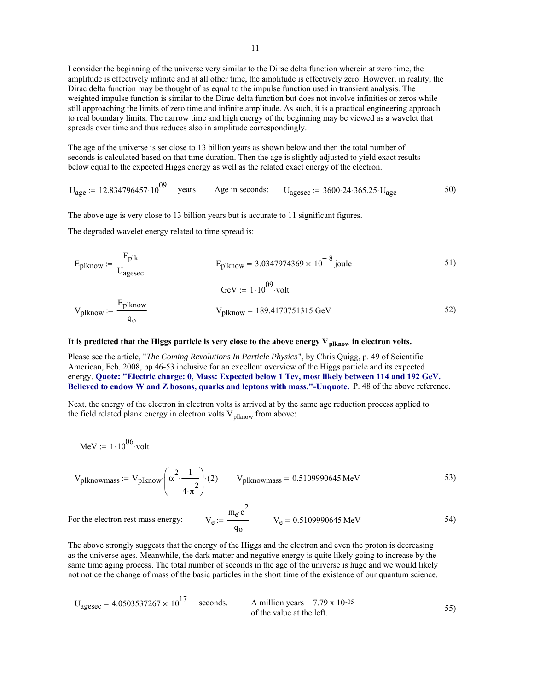I consider the beginning of the universe very similar to the Dirac delta function wherein at zero time, the amplitude is effectively infinite and at all other time, the amplitude is effectively zero. However, in reality, the Dirac delta function may be thought of as equal to the impulse function used in transient analysis. The weighted impulse function is similar to the Dirac delta function but does not involve infinities or zeros while still approaching the limits of zero time and infinite amplitude. As such, it is a practical engineering approach to real boundary limits. The narrow time and high energy of the beginning may be viewed as a wavelet that spreads over time and thus reduces also in amplitude correspondingly.

The age of the universe is set close to 13 billion years as shown below and then the total number of seconds is calculated based on that time duration. Then the age is slightly adjusted to yield exact results below equal to the expected Higgs energy as well as the related exact energy of the electron.

years Age in seconds:  $U_{\text{agesec}} = 3600.24.365.25 \cdot U_{\text{age}}$  50)  $U_{\text{age}} := 12.834796457 \cdot 10^{09}$ 

The above age is very close to 13 billion years but is accurate to 11 significant figures.

The degraded wavelet energy related to time spread is:

$$
E_{plknow} := \frac{E_{plk}}{U_{agesec}}
$$
  
\n
$$
E_{plknow} = 3.0347974369 \times 10^{-8} \text{ joule}
$$
  
\n
$$
GeV := 1.10^{09} \text{ volt}
$$
  
\n
$$
V_{plknow} = 189.4170751315 \text{ GeV}
$$
  
\n
$$
51)
$$
  
\n52)

## It is predicted that the Higgs particle is very close to the above energy  $V_{\text{plknow}}$  in electron volts.

Please see the article, "*The Coming Revolutions In Particle Physics*", by Chris Quigg, p. 49 of Scientific American, Feb. 2008, pp 46-53 inclusive for an excellent overview of the Higgs particle and its expected energy. **Quote: "Electric charge: 0, Mass: Expected below 1 Tev, most likely between 114 and 192 GeV. Believed to endow W and Z bosons, quarks and leptons with mass."-Unquote.** P. 48 of the above reference.

Next, the energy of the electron in electron volts is arrived at by the same age reduction process applied to the field related plank energy in electron volts  $V_{\text{plknow}}$  from above:

$$
MeV := 1 \cdot 10^{06} \cdot volt
$$

$$
V_{\text{plknownass}} := V_{\text{plknow}} \left( \alpha^2 \cdot \frac{1}{4 \cdot \pi^2} \right) \cdot (2) \qquad V_{\text{plknownass}} = 0.5109990645 \text{ MeV} \tag{53}
$$

 $V_e := \frac{m_e c^2}{V_e}$   $V_e = 0.5109990645 \text{ MeV}$  54) qo For the electron rest mass energy:

The above strongly suggests that the energy of the Higgs and the electron and even the proton is decreasing as the universe ages. Meanwhile, the dark matter and negative energy is quite likely going to increase by the same time aging process. The total number of seconds in the age of the universe is huge and we would likely not notice the change of mass of the basic particles in the short time of the existence of our quantum science.

$$
U_{\text{agesec}} = 4.0503537267 \times 10^{17} \quad \text{seconds.}
$$
  
A million years = 7.79 x 10<sup>-05</sup> of the value at the left.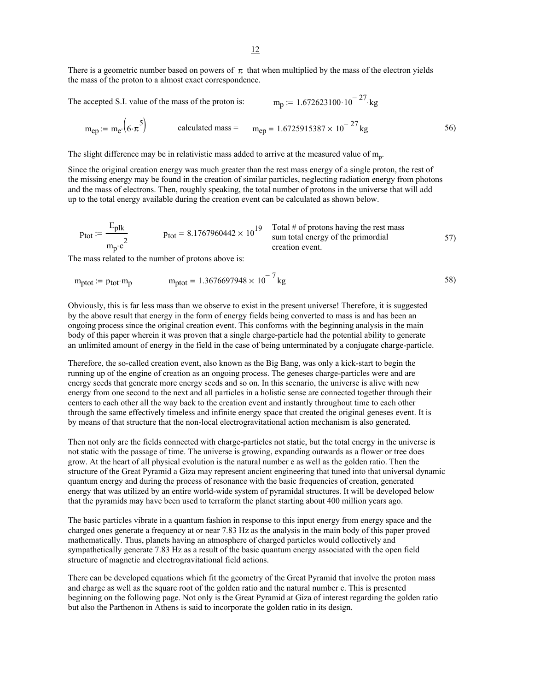There is a geometric number based on powers of  $\pi$  that when multiplied by the mass of the electron yields the mass of the proton to a almost exact correspondence.

The accepted S.I. value of the mass of the proton is:  $m_p := 1.672623100 \cdot 10^{-27}$  kg

$$
m_{ep} := m_{e'} (6 \cdot \pi^5)
$$
 calculated mass =  $m_{ep} = 1.6725915387 \times 10^{-27} \text{kg}$  56)

The slight difference may be in relativistic mass added to arrive at the measured value of  $m_p$ .

Since the original creation energy was much greater than the rest mass energy of a single proton, the rest of the missing energy may be found in the creation of similar particles, neglecting radiation energy from photons and the mass of electrons. Then, roughly speaking, the total number of protons in the universe that will add up to the total energy available during the creation event can be calculated as shown below.

$$
p_{\text{tot}} := \frac{E_{\text{plk}}}{m_{\text{p}} \cdot c^2}
$$
 
$$
p_{\text{tot}} = 8.1767960442 \times 10^{19}
$$
 
$$
T_{\text{total}} \neq 6 \text{ protons having the rest mass} \text{sum total energy of the primordial} \text{res} \text{times}
$$

The mass related to the number of protons above is:

$$
m_{\text{ptot}} := p_{\text{tot}} \cdot m_{\text{p}} \qquad m_{\text{ptot}} = 1.3676697948 \times 10^{-7} \text{kg} \qquad 58)
$$

Obviously, this is far less mass than we observe to exist in the present universe! Therefore, it is suggested by the above result that energy in the form of energy fields being converted to mass is and has been an ongoing process since the original creation event. This conforms with the beginning analysis in the main body of this paper wherein it was proven that a single charge-particle had the potential ability to generate an unlimited amount of energy in the field in the case of being unterminated by a conjugate charge-particle.

Therefore, the so-called creation event, also known as the Big Bang, was only a kick-start to begin the running up of the engine of creation as an ongoing process. The geneses charge-particles were and are energy seeds that generate more energy seeds and so on. In this scenario, the universe is alive with new energy from one second to the next and all particles in a holistic sense are connected together through their centers to each other all the way back to the creation event and instantly throughout time to each other through the same effectively timeless and infinite energy space that created the original geneses event. It is by means of that structure that the non-local electrogravitational action mechanism is also generated.

Then not only are the fields connected with charge-particles not static, but the total energy in the universe is not static with the passage of time. The universe is growing, expanding outwards as a flower or tree does grow. At the heart of all physical evolution is the natural number e as well as the golden ratio. Then the structure of the Great Pyramid a Giza may represent ancient engineering that tuned into that universal dynamic quantum energy and during the process of resonance with the basic frequencies of creation, generated energy that was utilized by an entire world-wide system of pyramidal structures. It will be developed below that the pyramids may have been used to terraform the planet starting about 400 million years ago.

The basic particles vibrate in a quantum fashion in response to this input energy from energy space and the charged ones generate a frequency at or near 7.83 Hz as the analysis in the main body of this paper proved mathematically. Thus, planets having an atmosphere of charged particles would collectively and sympathetically generate 7.83 Hz as a result of the basic quantum energy associated with the open field structure of magnetic and electrogravitational field actions.

There can be developed equations which fit the geometry of the Great Pyramid that involve the proton mass and charge as well as the square root of the golden ratio and the natural number e. This is presented beginning on the following page. Not only is the Great Pyramid at Giza of interest regarding the golden ratio but also the Parthenon in Athens is said to incorporate the golden ratio in its design.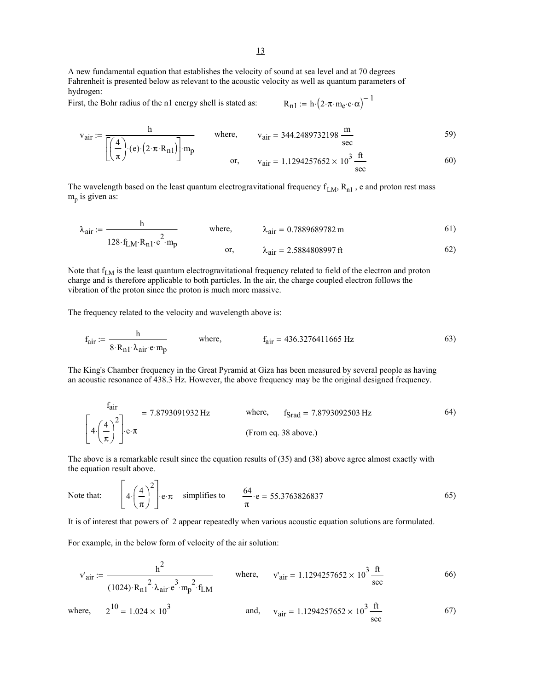A new fundamental equation that establishes the velocity of sound at sea level and at 70 degrees Fahrenheit is presented below as relevant to the acoustic velocity as well as quantum parameters of hydrogen:

First, the Bohr radius of the n1 energy shell is stated as:  $R_{n1} := h \cdot (2 \cdot \pi \cdot m_e \cdot c \cdot \alpha)^{-1}$ 

⎝

⎣

$$
R_{n1}:=\mathrm{h}\cdot\big(2{\cdot}\pi{\cdot}\mathrm{m}_e{\cdot}c{\cdot}\alpha\big)^{-}
$$

$$
v_{\text{air}} := \frac{h}{\left| \left( \frac{4}{2} \right) \cdot (e) \cdot (2 \cdot \pi \cdot R_{n1}) \right| \cdot m_p}
$$
 where,  $v_{\text{air}} = 344.2489732198 \frac{m}{\sec}$ 

π ⎠ ⎦ or, vair 1.1294257652 10<sup>3</sup> × ft sec <sup>=</sup> 60)

The wavelength based on the least quantum electrogravitational frequency  $f_{LM}$ ,  $R_{n1}$ , e and proton rest mass  $m_p$  is given as:

$$
\lambda_{\text{air}} := \frac{h}{128 \cdot f_{LM} \cdot R_{n1} \cdot e^2 \cdot m_p} \quad \text{where,} \quad \lambda_{\text{air}} = 0.7889689782 \text{ m} \quad (61)
$$

Note that f<sub>LM</sub> is the least quantum electrogravitational frequency related to field of the electron and proton charge and is therefore applicable to both particles. In the air, the charge coupled electron follows the vibration of the proton since the proton is much more massive.

The frequency related to the velocity and wavelength above is:

$$
f_{\text{air}} := \frac{h}{8 \cdot R_{n1} \cdot \lambda_{\text{air}} \cdot e \cdot m_p}
$$
 where,  $f_{\text{air}} = 436.3276411665 \text{ Hz}$  (63)

The King's Chamber frequency in the Great Pyramid at Giza has been measured by several people as having an acoustic resonance of 438.3 Hz. However, the above frequency may be the original designed frequency.

$$
\frac{f_{\text{air}}}{4 \cdot \left(\frac{4}{\pi}\right)^2} = 7.8793091932 \text{ Hz} \qquad \text{where,} \qquad f_{\text{Srad}} = 7.8793092503 \text{ Hz} \qquad (From eq. 38 above.) \qquad (9.38 \text{ above.})
$$

The above is a remarkable result since the equation results of (35) and (38) above agree almost exactly with the equation result above.

Note that: 
$$
4 \cdot \left(\frac{4}{\pi}\right)^2 e \cdot \pi \quad \text{simplifies to} \quad \frac{64}{\pi} \cdot e = 55.3763826837
$$
 (65)

It is of interest that powers of 2 appear repeatedly when various acoustic equation solutions are formulated.

For example, in the below form of velocity of the air solution:

$$
v'_{air} := \frac{h^2}{(1024) \cdot R_{n1}^2 \cdot \lambda_{air} \cdot e^3 \cdot m_p^2 \cdot f_{LM}}
$$
 where,  $v'_{air} = 1.1294257652 \times 10^3 \frac{ft}{sec}$  66)

where, 
$$
2^{10} = 1.024 \times 10^3
$$
 and,  $v_{\text{air}} = 1.1294257652 \times 10^3 \frac{\text{ft}}{\text{sec}}$  67)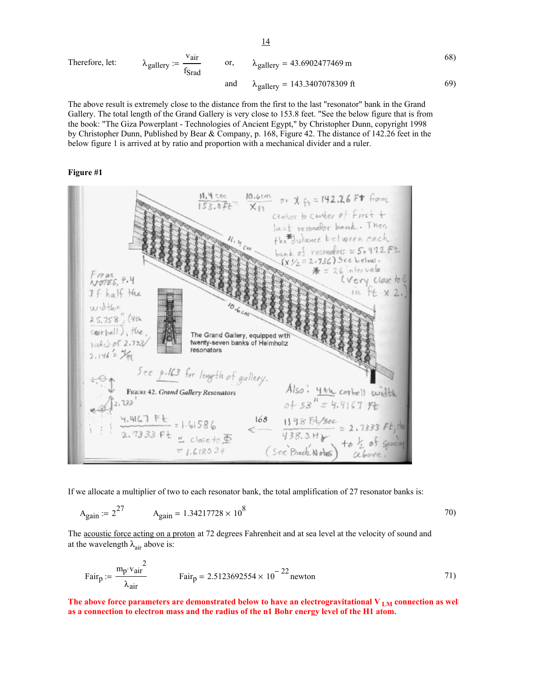Therefore, let: 
$$
\lambda_{\text{gallery}} := \frac{\text{v}_{\text{air}}}{\text{f}_{\text{Srad}}}
$$
 or,  $\lambda_{\text{gallery}} = 43.6902477469 \text{ m}$  (68)  
and  $\lambda_{\text{gallery}} = 143.3407078309 \text{ ft}$  (69)

The above result is extremely close to the distance from the first to the last "resonator" bank in the Grand Gallery. The total length of the Grand Gallery is very close to 153.8 feet. "See the below figure that is from the book: "The Giza Powerplant - Technologies of Ancient Egypt," by Christopher Dunn, copyright 1998 by Christopher Dunn, Published by Bear & Company, p. 168, Figure 42. The distance of 142.26 feet in the below figure 1 is arrived at by ratio and proportion with a mechanical divider and a ruler.

## **Figure #1**



If we allocate a multiplier of two to each resonator bank, the total amplification of 27 resonator banks is:

$$
A_{\text{gain}} = 2^{27} \qquad A_{\text{gain}} = 1.34217728 \times 10^8 \qquad (70)
$$

The acoustic force acting on a proton at 72 degrees Fahrenheit and at sea level at the velocity of sound and at the wavelength  $\lambda_{\text{air}}$  above is:

$$
Fairp := \frac{mp \cdot vair^{2}}{\lambda_{air}}
$$
 Fair<sub>p</sub> = 2.5123692554 × 10<sup>-22</sup> newton

The above force parameters are demonstrated below to have an electrogravitational V<sub>LM</sub> connection as well **as a connection to electron mass and the radius of the n1 Bohr energy level of the H1 atom.**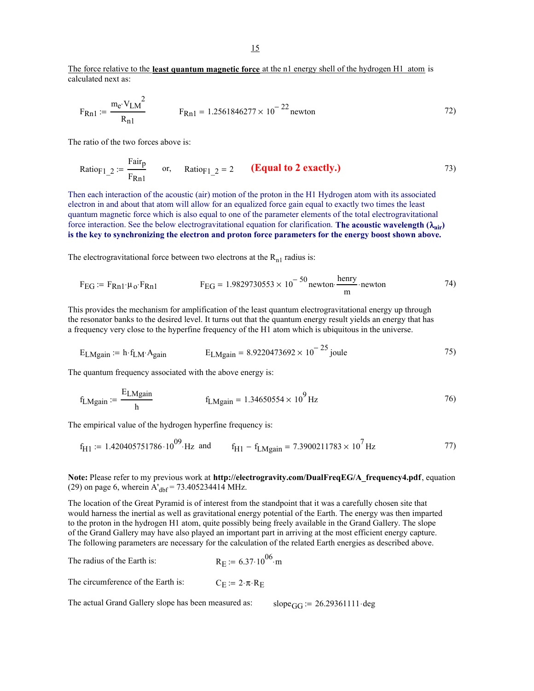The force relative to the **least quantum magnetic force** at the n1 energy shell of the hydrogen H1 atom is calculated next as:

$$
F_{Rn1} := \frac{m_e \cdot V_{LM}^2}{R_{n1}} \qquad F_{Rn1} = 1.2561846277 \times 10^{-22} \text{ newton} \tag{72}
$$

The ratio of the two forces above is:

Ratio<sub>F1\_2</sub> := 
$$
\frac{\text{Fair}_{p}}{\text{F}_{Rn1}}
$$
 or, Ratio<sub>F1\_2</sub> = 2 (**Equal to 2 exactly.**) (73)

Then each interaction of the acoustic (air) motion of the proton in the H1 Hydrogen atom with its associated electron in and about that atom will allow for an equalized force gain equal to exactly two times the least quantum magnetic force which is also equal to one of the parameter elements of the total electrogravitational force interaction. See the below electrogravitational equation for clarification. **The acoustic wavelength (**λ**air) is the key to synchronizing the electron and proton force parameters for the energy boost shown above.**

The electrogravitational force between two electrons at the  $R_{n1}$  radius is:

$$
F_{EG} := F_{Rn1} \cdot \mu_0 \cdot F_{Rn1}
$$
\n
$$
F_{EG} = 1.9829730553 \times 10^{-50} \text{ newton} \cdot \frac{\text{henry}}{\text{m}} \cdot \text{newton}
$$
\n
$$
\tag{74}
$$

This provides the mechanism for amplification of the least quantum electrogravitational energy up through the resonator banks to the desired level. It turns out that the quantum energy result yields an energy that has a frequency very close to the hyperfine frequency of the H1 atom which is ubiquitous in the universe.

$$
E_{LMgain} = h \cdot f_{LM} \cdot A_{gain} \qquad E_{LMgain} = 8.9220473692 \times 10^{-25} \text{ joule}
$$
 (75)

The quantum frequency associated with the above energy is:

$$
f_{LMgain} := \frac{E_{LMgain}}{h}
$$
 
$$
f_{LMgain} = 1.34650554 \times 10^9 \,\text{Hz}
$$
 (76)

The empirical value of the hydrogen hyperfine frequency is:

$$
f_{H1} := 1.420405751786 \cdot 10^{09} \cdot Hz
$$
 and  $f_{H1} - f_{LMgain} = 7.3900211783 \times 10^7 Hz$  77)

# **Note:** Please refer to my previous work at **http://electrogravity.com/DualFreqEG/A\_frequency4.pdf**, equation (29) on page 6, wherein  $A'_{\text{dbf}} = 73.405234414 \text{ MHz.}$

The location of the Great Pyramid is of interest from the standpoint that it was a carefully chosen site that would harness the inertial as well as gravitational energy potential of the Earth. The energy was then imparted to the proton in the hydrogen H1 atom, quite possibly being freely available in the Grand Gallery. The slope of the Grand Gallery may have also played an important part in arriving at the most efficient energy capture. The following parameters are necessary for the calculation of the related Earth energies as described above.

The radius of the Earth is:  $R_E = 6.37 \cdot 10^{06}$  m The circumference of the Earth is:  $C_E := 2 \cdot \pi \cdot R_E$ 

The actual Grand Gallery slope has been measured as: slope $_{GG}$  := 26.29361111 deg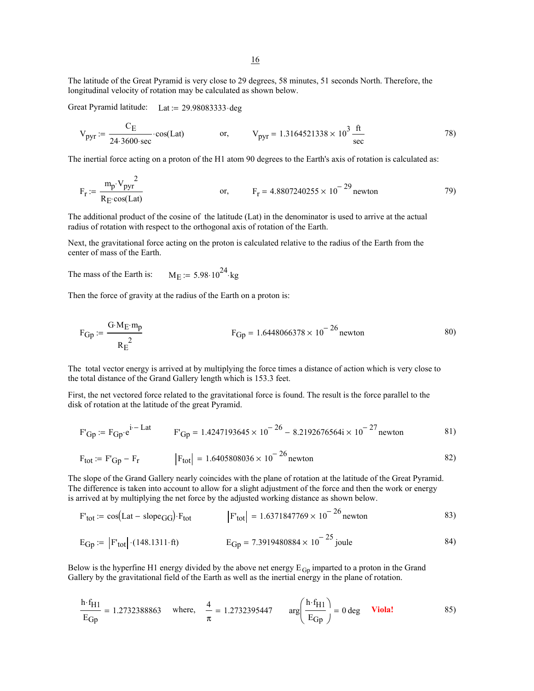The latitude of the Great Pyramid is very close to 29 degrees, 58 minutes, 51 seconds North. Therefore, the longitudinal velocity of rotation may be calculated as shown below.

Great Pyramid latitude: Lat :=  $29.98083333 \cdot deg$ 

$$
V_{pyr} := \frac{C_E}{24.3600 \text{ sec}} \cdot \cos(\text{Lat}) \qquad \text{or,} \qquad V_{pyr} = 1.3164521338 \times 10^3 \frac{\text{ft}}{\text{sec}} \qquad (78)
$$

The inertial force acting on a proton of the H1 atom 90 degrees to the Earth's axis of rotation is calculated as:

$$
F_r := \frac{m_p \cdot V_{pyr}^2}{R_E \cdot \cos(Lat)}
$$
 or,  $F_r = 4.8807240255 \times 10^{-29}$  newton (79)

The additional product of the cosine of the latitude (Lat) in the denominator is used to arrive at the actual radius of rotation with respect to the orthogonal axis of rotation of the Earth.

Next, the gravitational force acting on the proton is calculated relative to the radius of the Earth from the center of mass of the Earth.

The mass of the Earth is:  $M_E := 5.98 \cdot 10^{24}$ ·kg

Then the force of gravity at the radius of the Earth on a proton is:

$$
F_{Gp} := \frac{G \cdot M_E \cdot m_p}{R_E^2}
$$
 
$$
F_{Gp} = 1.6448066378 \times 10^{-26} \text{ newton}
$$
 (80)

The total vector energy is arrived at by multiplying the force times a distance of action which is very close to the total distance of the Grand Gallery length which is 153.3 feet.

First, the net vectored force related to the gravitational force is found. The result is the force parallel to the disk of rotation at the latitude of the great Pyramid.

$$
F'_{\text{Gp}} := F_{\text{Gp}} \cdot e^{i - \text{Lat}}
$$
\n
$$
F'_{\text{Gp}} = 1.4247193645 \times 10^{-26} - 8.2192676564i \times 10^{-27} \text{ newton}
$$
\n
$$
81)
$$

$$
F_{\text{tot}} := F'_{\text{Gp}} - F_{\text{r}} \qquad |F_{\text{tot}}| = 1.6405808036 \times 10^{-26} \text{ newton} \qquad (82)
$$

The slope of the Grand Gallery nearly coincides with the plane of rotation at the latitude of the Great Pyramid. The difference is taken into account to allow for a slight adjustment of the force and then the work or energy is arrived at by multiplying the net force by the adjusted working distance as shown below.

$$
\text{F}_{\text{tot}} := \cos(\text{Lat} - \text{slope}_{\text{GG}}) \cdot \text{F}_{\text{tot}} \qquad |\text{F}_{\text{tot}}| = 1.6371847769 \times 10^{-26} \text{ newton} \qquad 83)
$$

$$
E_{\text{Gp}} := |F'_{\text{tot}}| \cdot (148.1311 \cdot \text{ft})
$$
  $E_{\text{Gp}} = 7.3919480884 \times 10^{-25} \text{ joule}$  84)

Below is the hyperfine H1 energy divided by the above net energy  $E_{\text{Gp}}$  imparted to a proton in the Grand Gallery by the gravitational field of the Earth as well as the inertial energy in the plane of rotation.

$$
\frac{h \cdot f_{H1}}{E_{Gp}} = 1.2732388863 \quad \text{where,} \quad \frac{4}{\pi} = 1.2732395447 \quad \text{arg} \left( \frac{h \cdot f_{H1}}{E_{Gp}} \right) = 0 \text{ deg} \quad \text{Viola!} \tag{85}
$$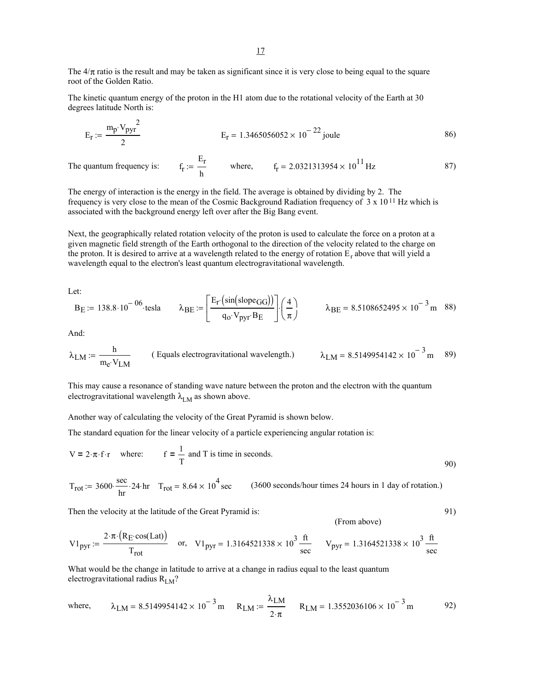The  $4/\pi$  ratio is the result and may be taken as significant since it is very close to being equal to the square root of the Golden Ratio.

The kinetic quantum energy of the proton in the H1 atom due to the rotational velocity of the Earth at 30 degrees latitude North is:

$$
E_r := \frac{m_p \cdot V_{pyr}^2}{2}
$$
  $E_r = 1.3465056052 \times 10^{-22} \text{ joule}$  (86)

The quantum frequency is: Er  $\frac{E_T}{h}$  where,  $f_T = 2.0321313954 \times 10^{11}$  Hz 87)

The energy of interaction is the energy in the field. The average is obtained by dividing by 2. The frequency is very close to the mean of the Cosmic Background Radiation frequency of 3 x 10 11 Hz which is associated with the background energy left over after the Big Bang event.

Next, the geographically related rotation velocity of the proton is used to calculate the force on a proton at a given magnetic field strength of the Earth orthogonal to the direction of the velocity related to the charge on the proton. It is desired to arrive at a wavelength related to the energy of rotation  $E_r$  above that will yield a wavelength equal to the electron's least quantum electrogravitational wavelength.

Let:

$$
B_E := 138.8 \cdot 10^{-06} \cdot \text{tesla} \qquad \lambda_{BE} := \left[ \frac{E_r(\sin(\text{slope}_{GG}))}{q_o \cdot V_{pyr} \cdot B_E} \right] \cdot \left( \frac{4}{\pi} \right) \qquad \lambda_{BE} = 8.5108652495 \times 10^{-3} \, \text{m} \quad 88)
$$

And:

$$
\lambda_{LM} := \frac{h}{m_e \cdot V_{LM}}
$$
 (Equals electrogravitational wavelength.) 
$$
\lambda_{LM} = 8.5149954142 \times 10^{-3} \text{ m}
$$
 89)

This may cause a resonance of standing wave nature between the proton and the electron with the quantum electrogravitational wavelength  $\lambda_{LM}$  as shown above.

Another way of calculating the velocity of the Great Pyramid is shown below.

The standard equation for the linear velocity of a particle experiencing angular rotation is:

$$
V = 2 \cdot \pi \cdot f \cdot r \quad \text{where:} \quad f = \frac{1}{T} \text{ and } T \text{ is time in seconds.}
$$

$$
T_{rot} = 3600 \cdot \frac{\sec}{hr} \cdot 24 \cdot hr \quad T_{rot} = 8.64 \times 10^4 \sec \quad (3600 \text{ seconds/hour times } 24 \text{ hours in 1 day of rotation.)}
$$

Then the velocity at the latitude of the Great Pyramid is: 91)

(From above)

$$
VI_{pyr} := \frac{2 \cdot \pi \cdot (R_E \cdot \cos(Lat))}{T_{rot}} \quad \text{or,} \quad VI_{pyr} = 1.3164521338 \times 10^3 \frac{\text{ft}}{\text{sec}} \qquad V_{pyr} = 1.3164521338 \times 10^3 \frac{\text{ft}}{\text{sec}}
$$

What would be the change in latitude to arrive at a change in radius equal to the least quantum electrogravitational radius  $R_{LM}$ ?

where, 
$$
\lambda_{LM} = 8.5149954142 \times 10^{-3} \text{ m}
$$
  $R_{LM} := \frac{\lambda_{LM}}{2 \cdot \pi}$   $R_{LM} = 1.3552036106 \times 10^{-3} \text{ m}$  92)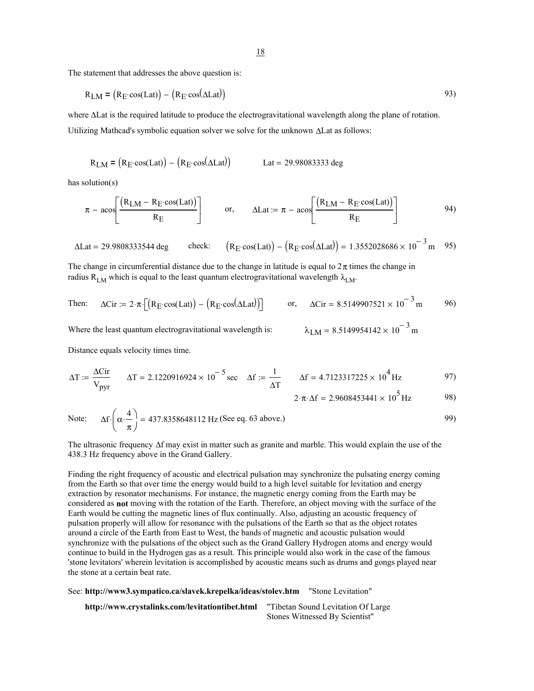The statement that addresses the above question is:

$$
R_{LM} = (R_E \cdot \cos(\text{Lat})) - (R_E \cdot \cos(\text{ALat})) \tag{93}
$$

where ∆Lat is the required latitude to produce the electrogravitational wavelength along the plane of rotation. Utilizing Mathcad's symbolic equation solver we solve for the unknown ∆Lat as follows:

$$
R_{LM} = (R_E \cos(Lat)) - (R_E \cos(\Delta Lat))
$$
 
$$
Lat = 29.98083333 \text{ deg}
$$

has solution(s)

$$
\pi - a \cos \left[ \frac{(R_{LM} - R_E \cos(Lat))}{R_E} \right] \qquad \text{or,} \qquad \Delta \text{Lat} := \pi - a \cos \left[ \frac{(R_{LM} - R_E \cos(Lat))}{R_E} \right] \tag{94}
$$

$$
\Delta \text{Lat} = 29.9808333544 \text{ deg} \qquad \text{check:} \qquad \left( R_E \cdot \cos(\text{Lat}) \right) - \left( R_E \cdot \cos(\Delta \text{Lat}) \right) = 1.3552028686 \times 10^{-3} \text{ m} \qquad 95
$$

The change in circumferential distance due to the change in latitude is equal to  $2\pi$  times the change in radius R<sub>LM</sub> which is equal to the least quantum electrogravitational wavelength  $\lambda_{LM}$ .

Then: 
$$
\Delta \text{Cir} := 2 \cdot \pi \cdot \left[ \left( R_E \cdot \cos(\text{Lat}) \right) - \left( R_E \cdot \cos(\Delta \text{Lat}) \right) \right]
$$
 or,  $\Delta \text{Cir} = 8.5149907521 \times 10^{-3} \text{ m}$  96)

Where the least quantum electrogravitational wavelength is:

$$
\lambda_{LM} = 8.5149954142 \times 10^{-3} \,\mathrm{m}
$$

Distance equals velocity times time.

$$
\Delta T := \frac{\Delta C \text{ir}}{V_{\text{pyr}}} \qquad \Delta T = 2.1220916924 \times 10^{-5} \text{ sec} \quad \Delta f := \frac{1}{\Delta T} \qquad \Delta f = 4.7123317225 \times 10^{4} \text{ Hz}
$$

$$
2 \cdot \pi \cdot \Delta f = 2.9608453441 \times 10^5 \,\text{Hz}
$$
 98)

Note: 
$$
\Delta f \cdot \left( \alpha \cdot \frac{4}{\pi} \right) = 437.8358648112 \text{ Hz (See eq. 63 above.)}
$$
 99)

The ultrasonic frequency ∆f may exist in matter such as granite and marble. This would explain the use of the 438.3 Hz frequency above in the Grand Gallery.

Finding the right frequency of acoustic and electrical pulsation may synchronize the pulsating energy coming from the Earth so that over time the energy would build to a high level suitable for levitation and energy extraction by resonator mechanisms. For instance, the magnetic energy coming from the Earth may be considered as **not** moving with the rotation of the Earth. Therefore, an object moving with the surface of the Earth would be cutting the magnetic lines of flux continually. Also, adjusting an acoustic frequency of pulsation properly will allow for resonance with the pulsations of the Earth so that as the object rotates around a circle of the Earth from East to West, the bands of magnetic and acoustic pulsation would synchronize with the pulsations of the object such as the Grand Gallery Hydrogen atoms and energy would continue to build in the Hydrogen gas as a result. This principle would also work in the case of the famous 'stone levitators' wherein levitation is accomplished by acoustic means such as drums and gongs played near the stone at a certain beat rate.

See: **http://www3.sympatico.ca/slavek.krepelka/ideas/stolev.htm** "Stone Levitation" **http://www.crystalinks.com/levitationtibet.html** "Tibetan Sound Levitation Of Large Stones Witnessed By Scientist"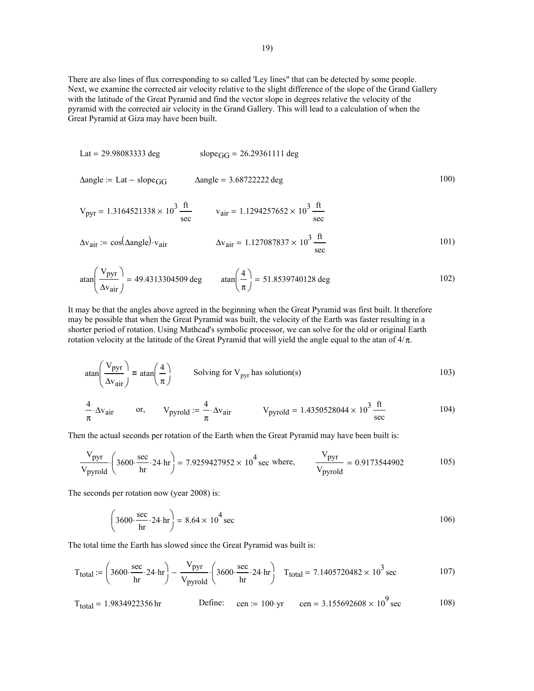There are also lines of flux corresponding to so called 'Ley lines" that can be detected by some people. Next, we examine the corrected air velocity relative to the slight difference of the slope of the Grand Gallery with the latitude of the Great Pyramid and find the vector slope in degrees relative the velocity of the pyramid with the corrected air velocity in the Grand Gallery. This will lead to a calculation of when the Great Pyramid at Giza may have been built.

Lat = 29.98083333 deg

\nslope<sub>GG</sub> = 26.29361111 deg

\nAngle := Lat – slope<sub>GG</sub>

\nAngle = 3.68722222 deg

\nY<sub>pyr</sub> = 1.3164521338 × 10<sup>3</sup> 
$$
\frac{\text{ft}}{\text{sec}}
$$

\nY<sub>air</sub> := cos(Angle) · v<sub>air</sub>

\nAv<sub>air</sub> = 1.127087837 × 10<sup>3</sup>  $\frac{\text{ft}}{\text{sec}}$ 

\nY<sub>pyr</sub> = 1.127087837 × 10<sup>3</sup>  $\frac{\text{ft}}{\text{sec}}$ 

\nY<sub>pyr</sub> = 1.127087837 × 10<sup>3</sup>  $\frac{\text{ft}}{\text{sec}}$ 

\nY<sub>pyr</sub> = 1.127087837 × 10<sup>3</sup>  $\frac{\text{ft}}{\text{sec}}$ 

atan
$$
\left(\frac{V_{pyr}}{\Delta v_{air}}\right)
$$
 = 49.4313304509 deg  $\tanh\left(\frac{4}{\pi}\right)$  = 51.8539740128 deg 102)

It may be that the angles above agreed in the beginning when the Great Pyramid was first built. It therefore may be possible that when the Great Pyramid was built, the velocity of the Earth was faster resulting in a shorter period of rotation. Using Mathcad's symbolic processor, we can solve for the old or original Earth rotation velocity at the latitude of the Great Pyramid that will yield the angle equal to the atan of  $4/π$ .

$$
\text{atan}\left(\frac{\text{V}_{\text{pyr}}}{\Delta \text{v}_{\text{air}}}\right) = \text{atan}\left(\frac{4}{\pi}\right) \qquad \text{Solving for V}_{\text{pyr}} \text{ has solution(s)} \tag{103}
$$

$$
\frac{4}{\pi} \cdot \Delta v_{\text{air}} \qquad \text{or,} \qquad V_{\text{pyrold}} := \frac{4}{\pi} \cdot \Delta v_{\text{air}} \qquad \qquad V_{\text{pyrold}} = 1.4350528044 \times 10^3 \frac{\text{ft}}{\text{sec}} \qquad (104)
$$

Then the actual seconds per rotation of the Earth when the Great Pyramid may have been built is:

$$
\frac{V_{pyr}}{V_{pyrold}} \cdot \left(3600 \cdot \frac{\sec}{hr} \cdot 24 \cdot hr\right) = 7.9259427952 \times 10^4 \sec \text{ where,} \qquad \frac{V_{pyr}}{V_{pyrold}} = 0.9173544902 \qquad (105)
$$

The seconds per rotation now (year 2008) is:

$$
\left(3600 \cdot \frac{\sec}{\text{hr}} \cdot 24 \cdot \text{hr}\right) = 8.64 \times 10^4 \text{ sec}
$$

The total time the Earth has slowed since the Great Pyramid was built is:

$$
T_{\text{total}} := \left(3600 \cdot \frac{\text{sec}}{\text{hr}} \cdot 24 \cdot \text{hr}\right) - \frac{V_{\text{pyr}}}{V_{\text{pyrold}}} \cdot \left(3600 \cdot \frac{\text{sec}}{\text{hr}} \cdot 24 \cdot \text{hr}\right) \quad T_{\text{total}} = 7.1405720482 \times 10^3 \text{ sec}
$$

$$
T_{\text{total}} = 1.9834922356 \,\text{hr}
$$
\n
$$
\text{Define:} \quad \text{cen} := 100 \cdot \text{yr} \quad \text{cen} = 3.155692608 \times 10^9 \,\text{sec}
$$
\n
$$
108\,\text{pc}
$$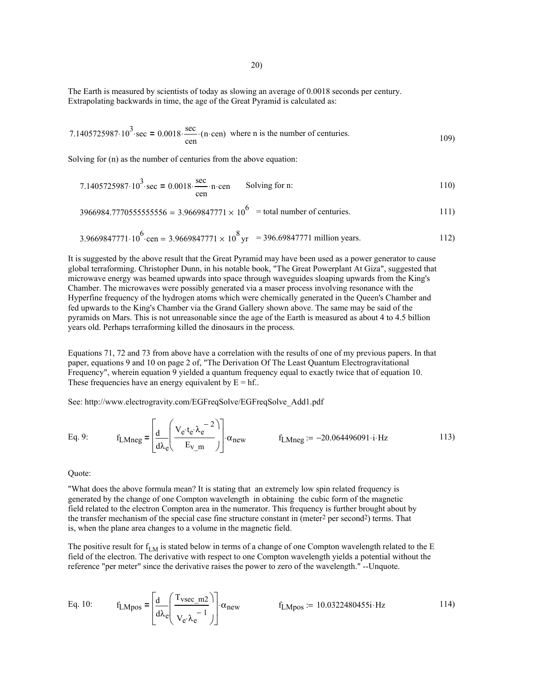The Earth is measured by scientists of today as slowing an average of 0.0018 seconds per century. Extrapolating backwards in time, the age of the Great Pyramid is calculated as:

7.1405725987·10<sup>3</sup>·sec = 
$$
0.0018 \cdot \frac{\sec}{\text{cen}} \cdot (\text{n} \cdot \text{cen})
$$
 where n is the number of centuries.

Solving for (n) as the number of centuries from the above equation:

7.1405725987·10<sup>3</sup>·sec = 0.0018·
$$
\frac{\text{sec}}{\text{cen}}
$$
·n·cen Solving for n: 110)

$$
3966984.7770555555556 = 3.9669847771 \times 10^6 = \text{total number of centuries.}
$$

$$
3.9669847771 \cdot 10^{6} \cdot \text{cen} = 3.9669847771 \times 10^{8} \text{ yr} = 396.69847771 \text{ million years.}
$$

It is suggested by the above result that the Great Pyramid may have been used as a power generator to cause global terraforming. Christopher Dunn, in his notable book, "The Great Powerplant At Giza", suggested that microwave energy was beamed upwards into space through waveguides sloaping upwards from the King's Chamber. The microwaves were possibly generated via a maser process involving resonance with the Hyperfine frequency of the hydrogen atoms which were chemically generated in the Queen's Chamber and fed upwards to the King's Chamber via the Grand Gallery shown above. The same may be said of the pyramids on Mars. This is not unreasonable since the age of the Earth is measured as about 4 to 4.5 billion years old. Perhaps terraforming killed the dinosaurs in the process.

Equations 71, 72 and 73 from above have a correlation with the results of one of my previous papers. In that paper, equations 9 and 10 on page 2 of, "The Derivation Of The Least Quantum Electrogravitational Frequency", wherein equation 9 yielded a quantum frequency equal to exactly twice that of equation 10. These frequencies have an energy equivalent by  $E = hf$ ...

See: http://www.electrogravity.com/EGFreqSolve/EGFreqSolve\_Add1.pdf

Eq. 9: 
$$
f_{LMneg} = \left[ \frac{d}{d\lambda_e} \left( \frac{V_e \cdot t_e \cdot \lambda_e^{-2}}{E_{V\_m}} \right) \right] \cdot \alpha_{new}
$$
  $f_{LMneg} := -20.064496091 \cdot i \cdot Hz$  113)

Quote:

"What does the above formula mean? It is stating that an extremely low spin related frequency is generated by the change of one Compton wavelength in obtaining the cubic form of the magnetic field related to the electron Compton area in the numerator. This frequency is further brought about by the transfer mechanism of the special case fine structure constant in (meter<sup>2</sup> per second<sup>2</sup>) terms. That is, when the plane area changes to a volume in the magnetic field.

The positive result for  $f_{LM}$  is stated below in terms of a change of one Compton wavelength related to the E field of the electron. The derivative with respect to one Compton wavelength yields a potential without the reference "per meter" since the derivative raises the power to zero of the wavelength." --Unquote.

Eq. 10: 
$$
f_{LMpos} = \left[\frac{d}{d\lambda_e} \left(\frac{T_{vsec\_m2}}{V_e \lambda_e^{-1}}\right)\right] \alpha_{new} \qquad f_{LMpos} := 10.0322480455i \cdot Hz
$$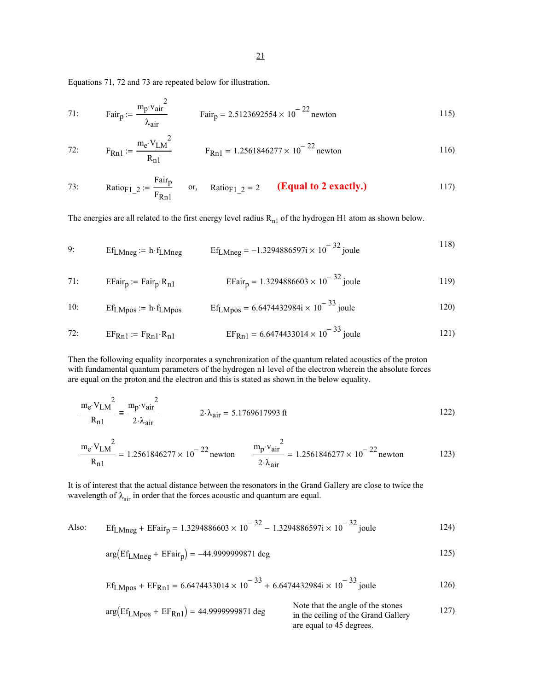Equations 71, 72 and 73 are repeated below for illustration.

71: Fair<sub>p</sub> := 
$$
\frac{m_{p} \cdot v_{air}^2}{\lambda_{air}}
$$
 Fair<sub>p</sub> = 2.5123692554 × 10<sup>-22</sup> newton

72: 
$$
F_{Rn1} := \frac{m_e \cdot V_{LM}^2}{R_{n1}}
$$
  $F_{Rn1} = 1.2561846277 \times 10^{-22}$  newton 116)

73: Ratio<sub>F1\_2</sub> := 
$$
\frac{\text{Fair}_{p}}{\text{F}_{Rn1}}
$$
 or, Ratio<sub>F1\_2</sub> = 2 (**Equal to 2 exactly.**) 117)

The energies are all related to the first energy level radius  $R_{n1}$  of the hydrogen H1 atom as shown below.

9: 
$$
Ef_{LMneg} := h \cdot f_{LMneg}
$$
  $Ef_{LMneg} = -1.3294886597i \times 10^{-32}$  joule

71: EFairp := Fairp⋅Rn1 EFairp 1.3294886603 10<sup>−</sup> <sup>32</sup> <sup>=</sup> <sup>×</sup> joule 119)

10: 
$$
Ef_{LMpos} = h \cdot f_{LMpos}
$$
  $Ef_{LMpos} = 6.6474432984 \times 10^{-33}$  joule

72: EFRn1 := FRn1⋅Rn1 EFRn1 6.6474433014 10<sup>−</sup> <sup>33</sup> <sup>=</sup> <sup>×</sup> joule 121)

Then the following equality incorporates a synchronization of the quantum related acoustics of the proton with fundamental quantum parameters of the hydrogen n1 level of the electron wherein the absolute forces are equal on the proton and the electron and this is stated as shown in the below equality.

$$
\frac{m_e \cdot V_{LM}}{R_{n1}} = \frac{m_p \cdot v_{air}}{2 \cdot \lambda_{air}} \qquad 2 \cdot \lambda_{air} = 5.1769617993 \text{ ft} \qquad (122)
$$

$$
\frac{m_{e}V_{LM}^{2}}{R_{n1}} = 1.2561846277 \times 10^{-22} \text{ newton}
$$
\n
$$
\frac{m_{p}V_{air}^{2}}{2 \cdot \lambda_{air}} = 1.2561846277 \times 10^{-22} \text{ newton}
$$
\n
$$
123)
$$

It is of interest that the actual distance between the resonators in the Grand Gallery are close to twice the wavelength of  $\lambda_{\text{air}}$  in order that the forces acoustic and quantum are equal.

Also: 
$$
Ef_{LMneg} + EFair_p = 1.3294886603 \times 10^{-32} - 1.3294886597i \times 10^{-32}
$$
 joule 124)

$$
\arg\left(\text{Ef}_{\text{LMneg}} + \text{EFair}_{p}\right) = -44.9999999871 \text{ deg}
$$

$$
\text{Ef}_{\text{LMpos}} + \text{EF}_{\text{Rn1}} = 6.6474433014 \times 10^{-33} + 6.6474432984 \times 10^{-33} \text{ joule}
$$

$$
arg(Ef_{LMpos} + EF_{Rn1}) = 44.9999999871 \text{ deg}
$$
\n
$$
log \text{ Note that the angle of the stones in the ceiling of the Grand Gallery are equal to 45 degrees.}
$$
\n127)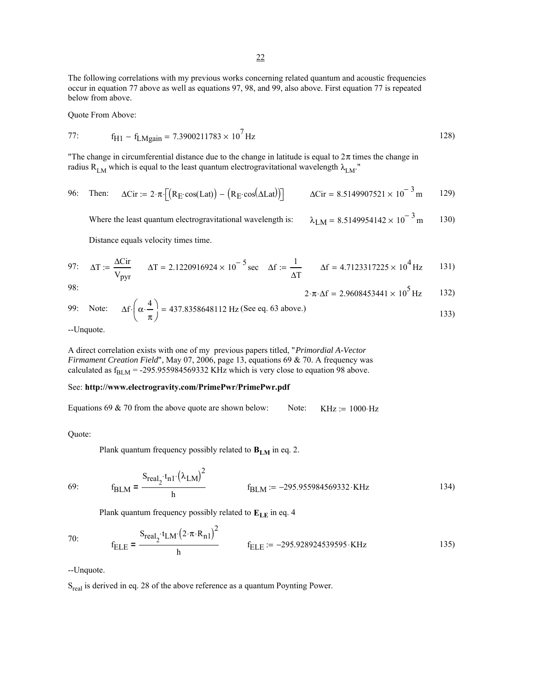The following correlations with my previous works concerning related quantum and acoustic frequencies occur in equation 77 above as well as equations 97, 98, and 99, also above. First equation 77 is repeated below from above.

Quote From Above:

77: 
$$
f_{H1} - f_{LMgain} = 7.3900211783 \times 10^7
$$
 Hz

"The change in circumferential distance due to the change in latitude is equal to  $2\pi$  times the change in radius R<sub>LM</sub> which is equal to the least quantum electrogravitational wavelength  $\lambda_{LM}$ ."

96: Then: 
$$
\Delta \text{Cir} := 2 \cdot \pi \cdot \left[ \left( R_E \cdot \cos(\Delta L \cdot \text{at}) \right) - \left( R_E \cdot \cos(\Delta L \cdot \text{at}) \right) \right]
$$
  $\Delta \text{Cir} = 8.5149907521 \times 10^{-3} \text{ m}$  129)

Where the least quantum electrogravitational wavelength is:  $\lambda_{LM} = 8.5149954142 \times 10^{-3}$  m 130)

Distance equals velocity times time.

97: 
$$
\Delta T := \frac{\Delta C ir}{V_{pyr}}
$$
  $\Delta T = 2.1220916924 \times 10^{-5} \text{ sec}$   $\Delta f := \frac{1}{\Delta T}$   $\Delta f = 4.7123317225 \times 10^{4} \text{ Hz}$  131)

98:

$$
2 \cdot \pi \cdot \Delta f = 2.9608453441 \times 10^5 \,\text{Hz} \qquad 132)
$$

99: Note: 
$$
\Delta f \cdot \left(\alpha \cdot \frac{4}{\pi}\right) = 437.8358648112 \text{ Hz (See eq. 63 above.)}
$$

--Unquote.

A direct correlation exists with one of my previous papers titled, "*Primordial A-Vector Firmament Creation Field*", May 07, 2006, page 13, equations 69 & 70. A frequency was calculated as  $f_{BLM}$  = -295.955984569332 KHz which is very close to equation 98 above.

## See: **http://www.electrogravity.com/PrimePwr/PrimePwr.pdf**

Equations 69 & 70 from the above quote are shown below: Note: KHz :=  $1000 \text{ Hz}$ 

Quote:

Plank quantum frequency possibly related to  $B_{LM}$  in eq. 2.

$$
f_{BLM} = \frac{S_{real_2} \cdot t_{n1} \cdot (\lambda_{LM})^2}{h}
$$
  $f_{BLM} := -295.955984569332 \cdot KHz$  (134)

Plank quantum frequency possibly related to  $E_{LE}$  in eq. 4

70: 
$$
f_{\text{ELE}} = \frac{S_{\text{real}_2} \cdot t_{\text{LM}} \cdot (2 \cdot \pi \cdot R_{n1})^2}{h} \qquad f_{\text{ELE}} := -295.928924539595 \cdot \text{KHz}
$$
 (135)

--Unquote.

S<sub>real</sub> is derived in eq. 28 of the above reference as a quantum Poynting Power.

 $69:$